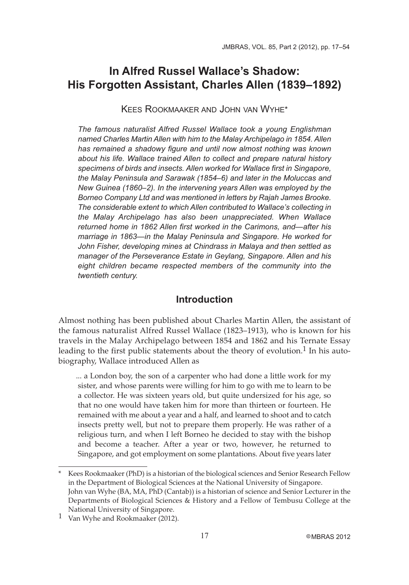# **In Alfred Russel Wallace's Shadow: His Forgotten Assistant, Charles Allen (1839–1892)**

KEES ROOKMAAKER AND JOHN VAN WYHE\*

*The famous naturalist Alfred Russel Wallace took a young Englishman named Charles Martin Allen with him to the Malay Archipelago in 1854. Allen has remained a shadowy figure and until now almost nothing was known about his life. Wallace trained Allen to collect and prepare natural history specimens of birds and insects. Allen worked for Wallace first in Singapore, the Malay Peninsula and Sarawak (1854–6) and later in the Moluccas and New Guinea (1860–2). In the intervening years Allen was employed by the Borneo Company Ltd and was mentioned in letters by Rajah James Brooke. The considerable extent to which Allen contributed to Wallace's collecting in the Malay Archipelago has also been unappreciated. When Wallace returned home in 1862 Allen first worked in the Carimons, and—after his marriage in 1863—in the Malay Peninsula and Singapore. He worked for John Fisher, developing mines at Chindrass in Malaya and then settled as manager of the Perseverance Estate in Geylang, Singapore. Allen and his eight children became respected members of the community into the twentieth century.*

## **Introduction**

Almost nothing has been published about Charles Martin Allen, the assistant of the famous naturalist Alfred Russel Wallace (1823–1913), who is known for his travels in the Malay Archipelago between 1854 and 1862 and his Ternate Essay leading to the first public statements about the theory of evolution.<sup>1</sup> In his autobiography, Wallace introduced Allen as

... a London boy, the son of a carpenter who had done a little work for my sister, and whose parents were willing for him to go with me to learn to be a collector. He was sixteen years old, but quite undersized for his age, so that no one would have taken him for more than thirteen or fourteen. He remained with me about a year and a half, and learned to shoot and to catch insects pretty well, but not to prepare them properly. He was rather of a religious turn, and when I left Borneo he decided to stay with the bishop and become a teacher. After a year or two, however, he returned to Singapore, and got employment on some plantations. About five years later

Kees Rookmaaker (PhD) is a historian of the biological sciences and Senior Research Fellow in the Department of Biological Sciences at the National University of Singapore. John van Wyhe (BA, MA, PhD (Cantab)) is a historian of science and Senior Lecturer in the Departments of Biological Sciences & History and a Fellow of Tembusu College at the

National University of Singapore. <sup>1</sup> Van Wyhe and Rookmaaker (2012).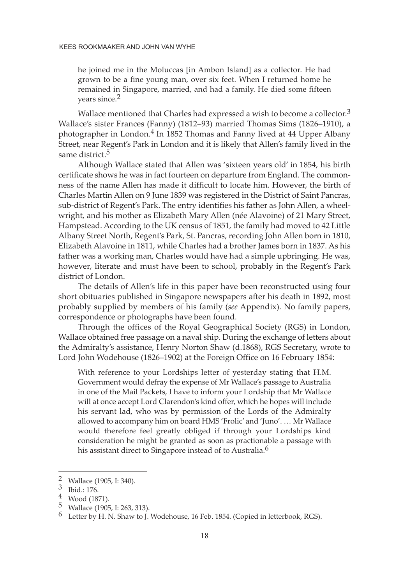he joined me in the Moluccas [in Ambon Island] as a collector. He had grown to be a fine young man, over six feet. When I returned home he remained in Singapore, married, and had a family. He died some fifteen years since. 2

Wallace mentioned that Charles had expressed a wish to become a collector.<sup>3</sup> Wallace's sister Frances (Fanny) (1812–93) married Thomas Sims (1826–1910), a photographer in London. $4$  In 1852 Thomas and Fanny lived at 44 Upper Albany Street, near Regent's Park in London and it is likely that Allen's family lived in the same district.<sup>5</sup>

Although Wallace stated that Allen was 'sixteen years old' in 1854, his birth certificate shows he was in fact fourteen on departure from England. The commonness of the name Allen has made it difficult to locate him. However, the birth of Charles Martin Allen on 9 June 1839 was registered in the District of Saint Pancras, sub-district of Regent's Park. The entry identifies his father as John Allen, a wheelwright, and his mother as Elizabeth Mary Allen (née Alavoine) of 21 Mary Street, Hampstead. According to the UK census of 1851, the family had moved to 42 Little Albany Street North, Regent's Park, St. Pancras, recording John Allen born in 1810, Elizabeth Alavoine in 1811, while Charles had a brother James born in 1837. As his father was a working man, Charles would have had a simple upbringing. He was, however, literate and must have been to school, probably in the Regent's Park district of London.

The details of Allen's life in this paper have been reconstructed using four short obituaries published in Singapore newspapers after his death in 1892, most probably supplied by members of his family (*see* Appendix). No family papers, correspondence or photographs have been found.

Through the offices of the Royal Geographical Society (RGS) in London, Wallace obtained free passage on a naval ship. During the exchange of letters about the Admiralty's assistance, Henry Norton Shaw (d.1868), RGS Secretary, wrote to Lord John Wodehouse (1826–1902) at the Foreign Office on 16 February 1854:

With reference to your Lordships letter of yesterday stating that H.M. Government would defray the expense of Mr Wallace's passage to Australia in one of the Mail Packets, I have to inform your Lordship that Mr Wallace will at once accept Lord Clarendon's kind offer, which he hopes will include his servant lad, who was by permission of the Lords of the Admiralty allowed to accompany him on board HMS 'Frolic' and 'Juno'. … Mr Wallace would therefore feel greatly obliged if through your Lordships kind consideration he might be granted as soon as practionable a passage with his assistant direct to Singapore instead of to Australia.<sup>6</sup>

<sup>2</sup> Wallace (1905, I: 340). <sup>3</sup> Ibid.: 176.

<sup>4</sup> Wood (1871).<br>5 Wallace (1905, I: 263, 313).

 $^6$  Letter by H. N. Shaw to J. Wodehouse, 16 Feb. 1854. (Copied in letterbook, RGS).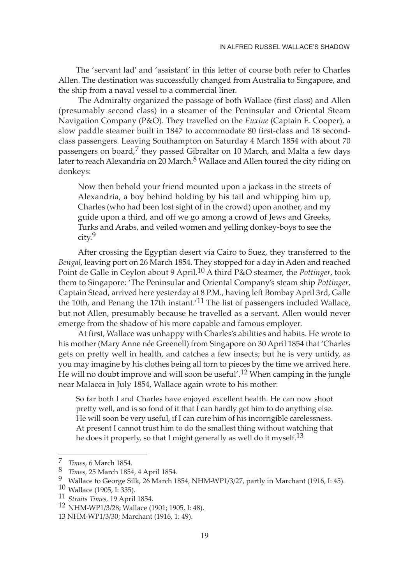The 'servant lad' and 'assistant' in this letter of course both refer to Charles Allen. The destination was successfully changed from Australia to Singapore, and the ship from a naval vessel to a commercial liner.

The Admiralty organized the passage of both Wallace (first class) and Allen (presumably second class) in a steamer of the Peninsular and Oriental Steam Navigation Company (P&O). They travelled on the *Euxine* (Captain E. Cooper), a slow paddle steamer built in 1847 to accommodate 80 first-class and 18 secondclass passengers. Leaving Southampton on Saturday 4 March 1854 with about 70 passengers on board, $^7$  they passed Gibraltar on 10 March, and Malta a few days later to reach Alexandria on 20 March. $8$  Wallace and Allen toured the city riding on donkeys:

Now then behold your friend mounted upon a jackass in the streets of Alexandria, a boy behind holding by his tail and whipping him up, Charles (who had been lost sight of in the crowd) upon another, and my guide upon a third, and off we go among a crowd of Jews and Greeks, Turks and Arabs, and veiled women and yelling donkey-boys to see the city.9

After crossing the Egyptian desert via Cairo to Suez, they transferred to the *Bengal*, leaving port on 26 March 1854. They stopped for a day in Aden and reached Point de Galle in Ceylon about 9 April.10 A third P&O steamer, the *Pottinger*, took them to Singapore: 'The Peninsular and Oriental Company's steam ship *Pottinger*, Captain Stead, arrived here yesterday at 8 P.M., having left Bombay April 3rd, Galle the 10th, and Penang the 17th instant.<sup>'11</sup> The list of passengers included Wallace, but not Allen, presumably because he travelled as a servant. Allen would never emerge from the shadow of his more capable and famous employer.

At first, Wallace was unhappy with Charles's abilities and habits. He wrote to his mother (Mary Anne née Greenell) from Singapore on 30 April 1854 that 'Charles gets on pretty well in health, and catches a few insects; but he is very untidy, as you may imagine by his clothes being all torn to pieces by the time we arrived here. He will no doubt improve and will soon be useful<sup>'12</sup> When camping in the jungle near Malacca in July 1854, Wallace again wrote to his mother:

So far both I and Charles have enjoyed excellent health. He can now shoot pretty well, and is so fond of it that I can hardly get him to do anything else. He will soon be very useful, if I can cure him of his incorrigible carelessness. At present I cannot trust him to do the smallest thing without watching that he does it properly, so that I might generally as well do it myself.<sup>13</sup>

<sup>7</sup> *Times*, 6 March 1854.

<sup>&</sup>lt;sup>9</sup> Wallace to George Silk, 26 March 1854, NHM-WP1/3/27, partly in Marchant (1916, I: 45).<br>10 Wallace (1905, I: 335).<br>11 *Straits Times*, 19 April 1854.<br>12 NHM-WP1/3/28; Wallace (1901; 1905, I: 48).

<sup>13</sup> NHM-WP1/3/30; Marchant (1916, 1: 49).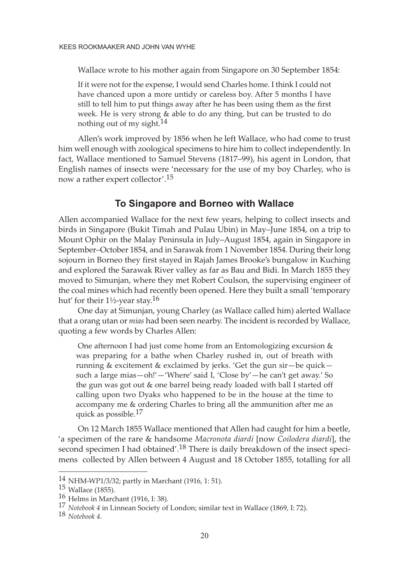Wallace wrote to his mother again from Singapore on 30 September 1854:

If it were not for the expense, I would send Charles home. I think I could not have chanced upon a more untidy or careless boy. After 5 months I have still to tell him to put things away after he has been using them as the first week. He is very strong & able to do any thing, but can be trusted to do nothing out of my sight.<sup>14</sup>

Allen's work improved by 1856 when he left Wallace, who had come to trust him well enough with zoological specimens to hire him to collect independently. In fact, Wallace mentioned to Samuel Stevens (1817–99), his agent in London, that English names of insects were 'necessary for the use of my boy Charley, who is now a rather expert collector'.15

## **To Singapore and Borneo with Wallace**

Allen accompanied Wallace for the next few years, helping to collect insects and birds in Singapore (Bukit Timah and Pulau Ubin) in May–June 1854, on a trip to Mount Ophir on the Malay Peninsula in July–August 1854, again in Singapore in September–October 1854, and in Sarawak from 1 November 1854. During their long sojourn in Borneo they first stayed in Rajah James Brooke's bungalow in Kuching and explored the Sarawak River valley as far as Bau and Bidi. In March 1855 they moved to Simunjan, where they met Robert Coulson, the supervising engineer of the coal mines which had recently been opened. Here they built a small 'temporary hut' for their 1½-year stay.<sup>16</sup>

One day at Simunjan, young Charley (as Wallace called him) alerted Wallace that a orang utan or *mias* had been seen nearby. The incident is recorded by Wallace, quoting a few words by Charles Allen:

One afternoon I had just come home from an Entomologizing excursion & was preparing for a bathe when Charley rushed in, out of breath with running & excitement & exclaimed by jerks. 'Get the gun sir—be quick such a large mias—oh!'—'Where' said I, 'Close by'—he can't get away.' So the gun was got out & one barrel being ready loaded with ball I started off calling upon two Dyaks who happened to be in the house at the time to accompany me & ordering Charles to bring all the ammunition after me as quick as possible.<sup>17</sup>

On 12 March 1855 Wallace mentioned that Allen had caught for him a beetle, 'a specimen of the rare & handsome *Macronota diardi* [now *Coilodera diardi*], the second specimen I had obtained'.<sup>18</sup> There is daily breakdown of the insect specimens collected by Allen between 4 August and 18 October 1855, totalling for all

<sup>14</sup> NHM-WP1/3/32; partly in Marchant (1916, 1: 51). <sup>15</sup> Wallace (1855). <sup>16</sup> Helms in Marchant (1916, I: 38). <sup>17</sup> *Notebook 4* in Linnean Society of London; similar text in Wallace (1869, I: 72). <sup>18</sup> *Notebook 4*.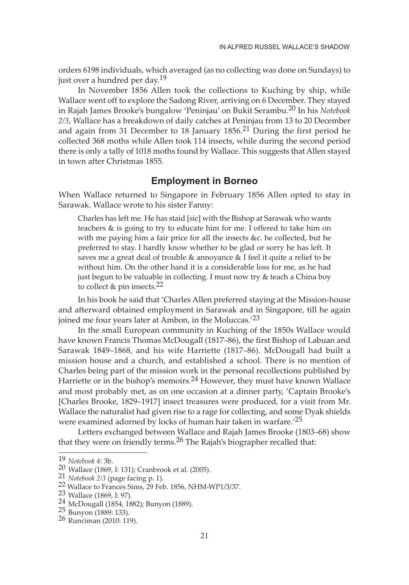orders 6198 individuals, which averaged (as no collecting was done on Sundays) to just over a hundred per day.<sup>19</sup>

In November 1856 Allen took the collections to Kuching by ship, while Wallace went off to explore the Sadong River, arriving on 6 December. They stayed in Rajah James Brooke's bungalow 'Peninjau' on Bukit Serambu.20 In his *Notebook 2/3*, Wallace has a breakdown of daily catches at Peninjau from 13 to 20 December and again from 31 December to 18 January  $1856<sup>21</sup>$  During the first period he collected 368 moths while Allen took 114 insects, while during the second period there is only a tally of 1018 moths found by Wallace. This suggests that Allen stayed in town after Christmas 1855.

## **Employment in Borneo**

When Wallace returned to Singapore in February 1856 Allen opted to stay in Sarawak. Wallace wrote to his sister Fanny:

Charles has left me. He has staid [sic] with the Bishop at Sarawak who wants teachers & is going to try to educate him for me. I offered to take him on with me paying him a fair price for all the insects &c. he collected, but he preferred to stay. I hardly know whether to be glad or sorry he has left. It saves me a great deal of trouble & annoyance & I feel it quite a relief to be without him. On the other hand it is a considerable loss for me, as he had just begun to be valuable in collecting. I must now try & teach a China boy to collect  $\&$  pin insects.<sup>22</sup>

In his book he said that 'Charles Allen preferred staying at the Mission-house and afterward obtained employment in Sarawak and in Singapore, till he again joined me four years later at Ambon, in the Moluccas.<sup>'23</sup>

In the small European community in Kuching of the 1850s Wallace would have known Francis Thomas McDougall (1817–86), the first Bishop of Labuan and Sarawak 1849–1868, and his wife Harriette (1817–86). McDougall had built a mission house and a church, and established a school. There is no mention of Charles being part of the mission work in the personal recollections published by Harriette or in the bishop's memoirs.<sup>24</sup> However, they must have known Wallace and most probably met, as on one occasion at a dinner party, 'Captain Brooke's [Charles Brooke, 1829–1917] insect treasures were produced, for a visit from Mr. Wallace the naturalist had given rise to a rage for collecting, and some Dyak shields were examined adorned by locks of human hair taken in warfare.<sup>'25</sup>

Letters exchanged between Wallace and Rajah James Brooke (1803–68) show that they were on friendly terms.<sup>26</sup> The Rajah's biographer recalled that:

<sup>19</sup> *Notebook 4*: 3b.

<sup>21</sup> *Notebook 2/3* (page facing p. 1).<br><sup>22</sup> Wallace to Frances Sims, 29 Feb. 1856, NHM-WP1/3/37.<br><sup>23</sup> Wallace (1869, I: 97).

<sup>24</sup> McDougall (1854, 1882); Bunyon (1889).<br>25 Bunyon (1889: 133).<br>26 Runciman (2010: 119).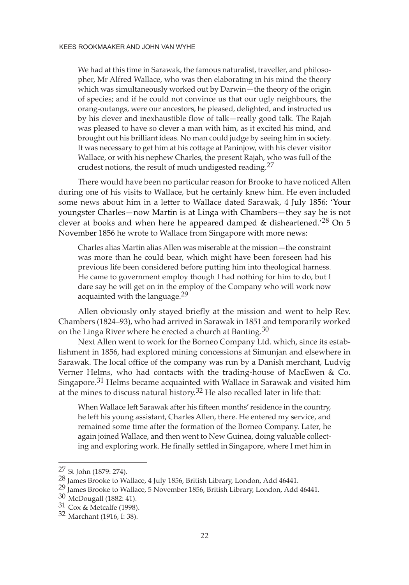We had at this time in Sarawak, the famous naturalist, traveller, and philosopher, Mr Alfred Wallace, who was then elaborating in his mind the theory which was simultaneously worked out by Darwin—the theory of the origin of species; and if he could not convince us that our ugly neighbours, the orang-outangs, were our ancestors, he pleased, delighted, and instructed us by his clever and inexhaustible flow of talk—really good talk. The Rajah was pleased to have so clever a man with him, as it excited his mind, and brought out his brilliant ideas. No man could judge by seeing him in society. It was necessary to get him at his cottage at Paninjow, with his clever visitor Wallace, or with his nephew Charles, the present Rajah, who was full of the crudest notions, the result of much undigested reading.<sup>27</sup>

There would have been no particular reason for Brooke to have noticed Allen during one of his visits to Wallace, but he certainly knew him. He even included some news about him in a letter to Wallace dated Sarawak, 4 July 1856: 'Your youngster Charles—now Martin is at Linga with Chambers—they say he is not clever at books and when here he appeared damped  $\&$  disheartened.<sup>'28</sup> On 5 November 1856 he wrote to Wallace from Singapore with more news:

Charles alias Martin alias Allen was miserable at the mission—the constraint was more than he could bear, which might have been foreseen had his previous life been considered before putting him into theological harness. He came to government employ though I had nothing for him to do, but I dare say he will get on in the employ of the Company who will work now acquainted with the language.<sup>29</sup>

Allen obviously only stayed briefly at the mission and went to help Rev. Chambers (1824–93), who had arrived in Sarawak in 1851 and temporarily worked on the Linga River where he erected a church at Banting.<sup>30</sup>

Next Allen went to work for the Borneo Company Ltd. which, since its establishment in 1856, had explored mining concessions at Simunjan and elsewhere in Sarawak. The local office of the company was run by a Danish merchant, Ludvig Verner Helms, who had contacts with the trading-house of MacEwen & Co. Singapore.<sup>31</sup> Helms became acquainted with Wallace in Sarawak and visited him at the mines to discuss natural history.<sup>32</sup> He also recalled later in life that:

When Wallace left Sarawak after his fifteen months' residence in the country, he left his young assistant, Charles Allen, there. He entered my service, and remained some time after the formation of the Borneo Company. Later, he again joined Wallace, and then went to New Guinea, doing valuable collecting and exploring work. He finally settled in Singapore, where I met him in

<sup>27</sup> St John (1879: 274).<br>
28 James Brooke to Wallace, 4 July 1856, British Library, London, Add 46441.<br>
29 James Brooke to Wallace, 5 November 1856, British Library, London, Add 46441.<br>
30 McDougall (1882: 41).<br>
31 Cox & M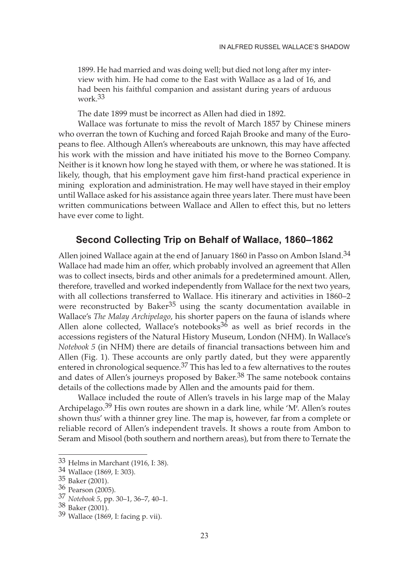1899. He had married and was doing well; but died not long after my interview with him. He had come to the East with Wallace as a lad of 16, and had been his faithful companion and assistant during years of arduous work.33

The date 1899 must be incorrect as Allen had died in 1892.

Wallace was fortunate to miss the revolt of March 1857 by Chinese miners who overran the town of Kuching and forced Rajah Brooke and many of the Europeans to flee. Although Allen's whereabouts are unknown, this may have affected his work with the mission and have initiated his move to the Borneo Company. Neither is it known how long he stayed with them, or where he was stationed. It is likely, though, that his employment gave him first-hand practical experience in mining exploration and administration. He may well have stayed in their employ until Wallace asked for his assistance again three years later. There must have been written communications between Wallace and Allen to effect this, but no letters have ever come to light.

## **Second Collecting Trip on Behalf of Wallace, 1860–1862**

Allen joined Wallace again at the end of January 1860 in Passo on Ambon Island.<sup>34</sup> Wallace had made him an offer, which probably involved an agreement that Allen was to collect insects, birds and other animals for a predetermined amount. Allen, therefore, travelled and worked independently from Wallace for the next two years, with all collections transferred to Wallace. His itinerary and activities in 1860–2 were reconstructed by Baker<sup>35</sup> using the scanty documentation available in Wallace's *The Malay Archipelago*, his shorter papers on the fauna of islands where Allen alone collected, Wallace's notebooks $36$  as well as brief records in the accessions registers of the Natural History Museum, London (NHM). In Wallace's *Notebook 5* (in NHM) there are details of financial transactions between him and Allen (Fig. 1). These accounts are only partly dated, but they were apparently entered in chronological sequence. $37$  This has led to a few alternatives to the routes and dates of Allen's journeys proposed by Baker.<sup>38</sup> The same notebook contains details of the collections made by Allen and the amounts paid for them.

Wallace included the route of Allen's travels in his large map of the Malay Archipelago.<sup>39</sup> His own routes are shown in a dark line, while 'M<sup>r</sup>. Allen's routes shown thus' with a thinner grey line. The map is, however, far from a complete or reliable record of Allen's independent travels. It shows a route from Ambon to Seram and Misool (both southern and northern areas), but from there to Ternate the

<sup>33</sup> Helms in Marchant (1916, I: 38). <sup>34</sup> Wallace (1869, I: 303). <sup>35</sup> Baker (2001). <sup>36</sup> Pearson (2005). <sup>37</sup> *Notebook 5*, pp. 30–1, 36–7, 40–1. <sup>38</sup> Baker (2001). <sup>39</sup> Wallace (1869, I: facing p. vii).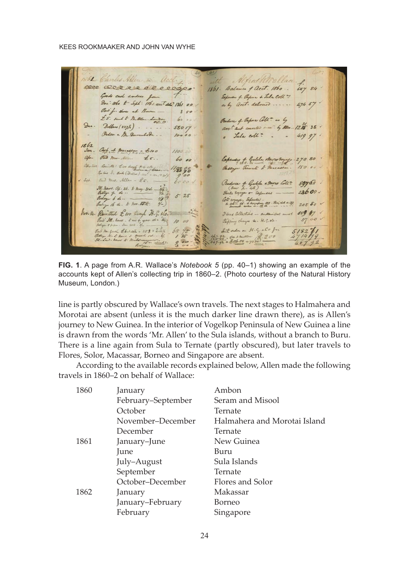#### KEES ROOKMAAKER AND JOHN VAN WYHE

1862 Charles Allen in acct. .. itt Mudkhallace. are are redecides 1861. Balance of act. 1860. 657 84. Gods can society for the contract of the colline of the colline of the colline of the colline of the colline of the colline of the colline of the colline of the colline of the colline of the colline of the colline of the c Paid for three at Bonne - 3 50 Es. sult matter down los on Perduce of Papua Coll" as by acct but consider ment by the. 12 15 38 . Dec. Dollars (227h) . . . . . . . 58017 - Order a M. Durantoda - 10000 " Jula coll: . . 419 97. 1862<br>Jan. Cash, A. Marcesco, 7, 8100<br>apr. 020 mm. Min. 45. 1100 00  $\begin{array}{lllllllllllllll} \mathcal{A}\mathfrak{h} & \mathcal{B}\mathfrak{h} & \mathcal{B}\mathfrak{h} & \mathcal{B}\mathfrak{h} & \mathcal{B}\mathfrak{h} & \mathcal{B}\mathfrak{h} & \mathcal{B}\mathfrak{h} & \mathcal{B}\mathfrak{h} & \mathcal{B}\mathfrak{h} & \mathcal{B}\mathfrak{h} & \mathcal{B}\mathfrak{h} & \mathcal{B}\mathfrak{h} & \mathcal{B}\mathfrak{h} & \mathcal{B}\mathfrak{h} & \mathcal{B}\mathfrak{h} & \mathcal{B}\mathfrak{h$ afor the mer allen £5 .. 60 00 . Expenses of Galiles Murating 270 80 . 16. mar. Neces - 26. 1996. 1996. 1997. 1998. 1999. 1999. 1999. 1994. 1994. 1994. 1994. 1994. 1994. 1994. 1994. 1994. 1994. 1994. 1994. 1994. 1994. 1994. 1994. 1994. 1994. 1994. 1994. 1994. 1994. 1994. 1994. 1994. 1994. 19 Hocks togage + Safemous - 28600 Cole voyage, Seperdes up Right with 208 50 V Here allective - and and must set of our hos. W. Remitted Low ting H.G. Mo. Tipping changes to. H. g. sto. 57 00 -Paid Ill. kom . to one of your other High 10 00 Volge 61. 200 201 11. 2018 2 2019 2 2019 2 2019 2 2019 2 2019 2 2019 2 2019 2 2019 2 2019 2 2019 2 2019 2 2019 2 2019 2 2019 2 2019 2 2019 2 2019 2 2019 2 2019 2 2019 2 2019 2 2019 2 2019 2 2019 2 2019 2 2019 2 2019 2 201  $518271$ Sent ada a H.G. . Co for

**FIG. 1**. A page from A.R. Wallace's *Notebook 5* (pp. 40–1) showing an example of the accounts kept of Allen's collecting trip in 1860–2. (Photo courtesy of the Natural History Museum, London.)

line is partly obscured by Wallace's own travels. The next stages to Halmahera and Morotai are absent (unless it is the much darker line drawn there), as is Allen's journey to New Guinea. In the interior of Vogelkop Peninsula of New Guinea a line is drawn from the words 'Mr. Allen' to the Sula islands, without a branch to Buru. There is a line again from Sula to Ternate (partly obscured), but later travels to Flores, Solor, Macassar, Borneo and Singapore are absent.

According to the available records explained below, Allen made the following travels in 1860–2 on behalf of Wallace:

| 1860 | January            | Ambon                        |
|------|--------------------|------------------------------|
|      | February–September | Seram and Misool             |
|      | October            | Ternate                      |
|      | November-December  | Halmahera and Morotai Island |
|      | December           | Ternate                      |
| 1861 | January–June       | New Guinea                   |
|      | June               | Buru                         |
|      | July-August        | Sula Islands                 |
|      | September          | Ternate                      |
|      | October-December   | Flores and Solor             |
| 1862 | January            | Makassar                     |
|      | January-February   | Borneo                       |
|      | February           | Singapore                    |
|      |                    |                              |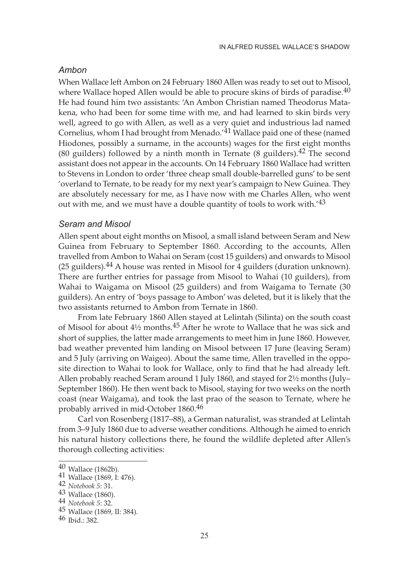### *Ambon*

When Wallace left Ambon on 24 February 1860 Allen was ready to set out to Misool, where Wallace hoped Allen would be able to procure skins of birds of paradise.<sup>40</sup> He had found him two assistants: 'An Ambon Christian named Theodorus Matakena, who had been for some time with me, and had learned to skin birds very well, agreed to go with Allen, as well as a very quiet and industrious lad named Cornelius, whom I had brought from Menado.<sup>'41</sup> Wallace paid one of these (named Hiodones, possibly a surname, in the accounts) wages for the first eight months (80 guilders) followed by a ninth month in Ternate (8 guilders).<sup>42</sup> The second assistant does not appear in the accounts. On 14 February 1860 Wallace had written to Stevens in London to order 'three cheap small double-barrelled guns' to be sent 'overland to Ternate, to be ready for my next year's campaign to New Guinea*.* They are absolutely necessary for me, as I have now with me Charles Allen, who went out with me, and we must have a double quantity of tools to work with.<sup>'43</sup>

#### *Seram and Misool*

Allen spent about eight months on Misool, a small island between Seram and New Guinea from February to September 1860. According to the accounts, Allen travelled from Ambon to Wahai on Seram (cost 15 guilders) and onwards to Misool (25 guilders).<sup>44</sup> A house was rented in Misool for 4 guilders (duration unknown). There are further entries for passage from Misool to Wahai (10 guilders), from Wahai to Waigama on Misool (25 guilders) and from Waigama to Ternate (30 guilders). An entry of 'boys passage to Ambon' was deleted, but it is likely that the two assistants returned to Ambon from Ternate in 1860.

From late February 1860 Allen stayed at Lelintah (Silinta) on the south coast of Misool for about 4½ months.<sup>45</sup> After he wrote to Wallace that he was sick and short of supplies, the latter made arrangements to meet him in June 1860. However, bad weather prevented him landing on Misool between 17 June (leaving Seram) and 5 July (arriving on Waigeo). About the same time, Allen travelled in the opposite direction to Wahai to look for Wallace, only to find that he had already left. Allen probably reached Seram around 1 July 1860, and stayed for 2½ months (July– September 1860). He then went back to Misool, staying for two weeks on the north coast (near Waigama), and took the last prao of the season to Ternate, where he probably arrived in mid-October 1860.46

Carl von Rosenberg (1817–88), a German naturalist, was stranded at Lelintah from 3–9 July 1860 due to adverse weather conditions. Although he aimed to enrich his natural history collections there, he found the wildlife depleted after Allen's thorough collecting activities:

<sup>40</sup> Wallace (1862b). <sup>41</sup> Wallace (1869, I: 476). <sup>42</sup> *Notebook 5*: 31.

<sup>43</sup> Wallace (1860). <sup>44</sup> *Notebook 5*: 32.

<sup>45</sup> Wallace (1869, II: 384). <sup>46</sup> Ibid.: 382.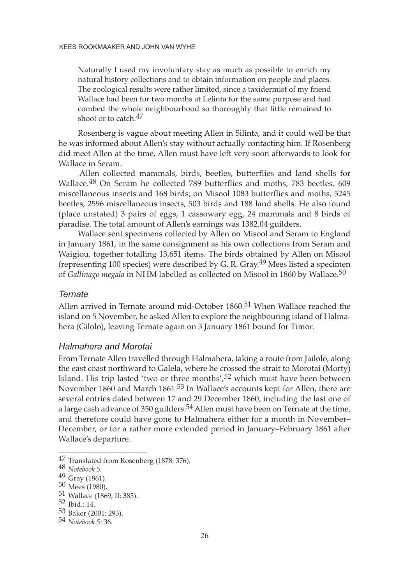Naturally I used my involuntary stay as much as possible to enrich my natural history collections and to obtain information on people and places. The zoological results were rather limited, since a taxidermist of my friend Wallace had been for two months at Lelinta for the same purpose and had combed the whole neighbourhood so thoroughly that little remained to shoot or to catch.<sup>47</sup>

Rosenberg is vague about meeting Allen in Silinta, and it could well be that he was informed about Allen's stay without actually contacting him. If Rosenberg did meet Allen at the time, Allen must have left very soon afterwards to look for Wallace in Seram.

Allen collected mammals, birds, beetles, butterflies and land shells for Wallace.<sup>48</sup> On Seram he collected 789 butterflies and moths, 783 beetles, 609 miscellaneous insects and 168 birds; on Misool 1083 butterflies and moths, 5245 beetles, 2596 miscellaneous insects, 503 birds and 188 land shells. He also found (place unstated) 3 pairs of eggs, 1 cassowary egg, 24 mammals and 8 birds of paradise. The total amount of Allen's earnings was 1382.04 guilders.

Wallace sent specimens collected by Allen on Misool and Seram to England in January 1861, in the same consignment as his own collections from Seram and Waigiou, together totalling 13,651 items. The birds obtained by Allen on Misool (representing 100 species) were described by G. R. Gray.<sup>49</sup> Mees listed a specimen of *Gallinago megala* in NHM labelled as collected on Misool in 1860 by Wallace.50

#### *Ternate*

Allen arrived in Ternate around mid-October 1860.<sup>51</sup> When Wallace reached the island on 5 November, he asked Allen to explore the neighbouring island of Halmahera (Gilolo), leaving Ternate again on 3 January 1861 bound for Timor.

#### *Halmahera and Morotai*

From Ternate Allen travelled through Halmahera, taking a route from Jailolo, along the east coast northward to Galela, where he crossed the strait to Morotai (Morty) Island. His trip lasted 'two or three months', $52$  which must have been between November 1860 and March 1861.<sup>53</sup> In Wallace's accounts kept for Allen, there are several entries dated between 17 and 29 December 1860, including the last one of a large cash advance of 350 guilders.<sup>54</sup> Allen must have been on Ternate at the time, and therefore could have gone to Halmahera either for a month in November– December, or for a rather more extended period in January–February 1861 after Wallace's departure.

<sup>47</sup> Translated from Rosenberg (1878: 376). <sup>48</sup> *Notebook 5.*

<sup>50</sup> Mees (1980).<br>51 Wallace (1869, II: 385).<br>52 Ibid.: 14.

<sup>53</sup> Baker (2001: 293). <sup>54</sup> *Notebook 5*: 36.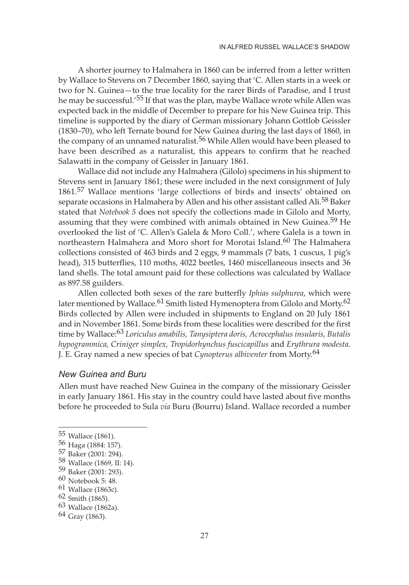A shorter journey to Halmahera in 1860 can be inferred from a letter written by Wallace to Stevens on 7 December 1860, saying that 'C. Allen starts in a week or two for N. Guinea—to the true locality for the rarer Birds of Paradise, and I trust he may be successful.<sup>'55</sup> If that was the plan, maybe Wallace wrote while Allen was expected back in the middle of December to prepare for his New Guinea trip. This timeline is supported by the diary of German missionary Johann Gottlob Geissler (1830–70), who left Ternate bound for New Guinea during the last days of 1860, in the company of an unnamed naturalist.<sup>56</sup> While Allen would have been pleased to have been described as a naturalist, this appears to confirm that he reached Salawatti in the company of Geissler in January 1861.

Wallace did not include any Halmahera (Gilolo) specimens in his shipment to Stevens sent in January 1861; these were included in the next consignment of July 1861.<sup>57</sup> Wallace mentions 'large collections of birds and insects' obtained on separate occasions in Halmahera by Allen and his other assistant called Ali.<sup>58</sup> Baker stated that *Notebook 5* does not specify the collections made in Gilolo and Morty, assuming that they were combined with animals obtained in New Guinea.<sup>59</sup> He overlooked the list of 'C. Allen's Galela & Moro Coll.', where Galela is a town in northeastern Halmahera and Moro short for Morotai Island.<sup>60</sup> The Halmahera collections consisted of 463 birds and 2 eggs, 9 mammals (7 bats, 1 cuscus, 1 pig's head), 315 butterflies, 110 moths, 4022 beetles, 1460 miscellaneous insects and 36 land shells. The total amount paid for these collections was calculated by Wallace as 897.58 guilders.

Allen collected both sexes of the rare butterfly *Iphias sulphurea*, which were later mentioned by Wallace.<sup>61</sup> Smith listed Hymenoptera from Gilolo and Morty.<sup>62</sup> Birds collected by Allen were included in shipments to England on 20 July 1861 and in November 1861. Some birds from these localities were described for the first time by Wallace:63 *Loriculus amabilis, Tanysiptera doris, Acrocephalus insularis, Butalis hypogrammica, Criniger simplex, Tropidorhynchus fuscicapillus* and *Erythrura modesta*. J. E. Gray named a new species of bat *Cynopterus albiventer* from Morty.64

#### *New Guinea and Buru*

Allen must have reached New Guinea in the company of the missionary Geissler in early January 1861. His stay in the country could have lasted about five months before he proceeded to Sula *via* Buru (Bourru) Island. Wallace recorded a number

<sup>55</sup> Wallace (1861).<br>56 Haga (1884: 157).<br>57 Baker (2001: 294).<br>58 Wallace (1869, II: 14).<br>59 Baker (2001: 293).<br>60 Notebook 5: 48.<br>61 Wallace (1863c).

<sup>62</sup> Smith (1865).<br>63 Wallace (1862a).<br>64 Gray (1863).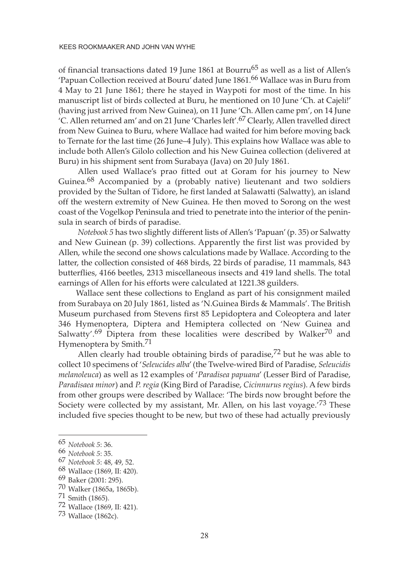of financial transactions dated 19 June 1861 at Bourru<sup>65</sup> as well as a list of Allen's 'Papuan Collection received at Bouru' dated June 1861.<sup>66</sup> Wallace was in Buru from 4 May to 21 June 1861; there he stayed in Waypoti for most of the time. In his manuscript list of birds collected at Buru, he mentioned on 10 June 'Ch. at Cajeli!' (having just arrived from New Guinea), on 11 June 'Ch. Allen came pm', on 14 June 'C. Allen returned am' and on 21 June 'Charles left'.67 Clearly, Allen travelled direct from New Guinea to Buru, where Wallace had waited for him before moving back to Ternate for the last time (26 June–4 July). This explains how Wallace was able to include both Allen's Gilolo collection and his New Guinea collection (delivered at Buru) in his shipment sent from Surabaya (Java) on 20 July 1861.

Allen used Wallace's prao fitted out at Goram for his journey to New Guinea.<sup>68</sup> Accompanied by a (probably native) lieutenant and two soldiers provided by the Sultan of Tidore, he first landed at Salawatti (Salwatty), an island off the western extremity of New Guinea. He then moved to Sorong on the west coast of the Vogelkop Peninsula and tried to penetrate into the interior of the peninsula in search of birds of paradise.

*Notebook 5* has two slightly different lists of Allen's 'Papuan' (p. 35) or Salwatty and New Guinean (p. 39) collections. Apparently the first list was provided by Allen, while the second one shows calculations made by Wallace. According to the latter, the collection consisted of 468 birds, 22 birds of paradise, 11 mammals, 843 butterflies, 4166 beetles, 2313 miscellaneous insects and 419 land shells. The total earnings of Allen for his efforts were calculated at 1221.38 guilders.

Wallace sent these collections to England as part of his consignment mailed from Surabaya on 20 July 1861, listed as 'N.Guinea Birds & Mammals'. The British Museum purchased from Stevens first 85 Lepidoptera and Coleoptera and later 346 Hymenoptera, Diptera and Hemiptera collected on 'New Guinea and Salwatty'.<sup>69</sup> Diptera from these localities were described by Walker<sup>70</sup> and Hymenoptera by Smith.<sup>71</sup>

Allen clearly had trouble obtaining birds of paradise, $72$  but he was able to collect 10 specimens of '*Seleucides alba*' (the Twelve-wired Bird of Paradise, *Seleucidis melanoleuca*) as well as 12 examples of '*Paradisea papuana*' (Lesser Bird of Paradise, *Paradisaea minor*) and *P. regia* (King Bird of Paradise, *Cicinnurus regius*). A few birds from other groups were described by Wallace: 'The birds now brought before the Society were collected by my assistant, Mr. Allen, on his last voyage.<sup>'73</sup> These included five species thought to be new, but two of these had actually previously

<sup>65</sup> *Notebook 5*: 36.

<sup>66</sup> *Notebook 5*: 35.

<sup>67</sup> *Notebook 5*: 48, 49, 52.

<sup>69</sup> Baker (2001: 295).<br>70 Walker (1865a, 1865b).<br>71 Smith (1865).<br>72 Wallace (1869, II: 421).<br>73 Wallace (1862c).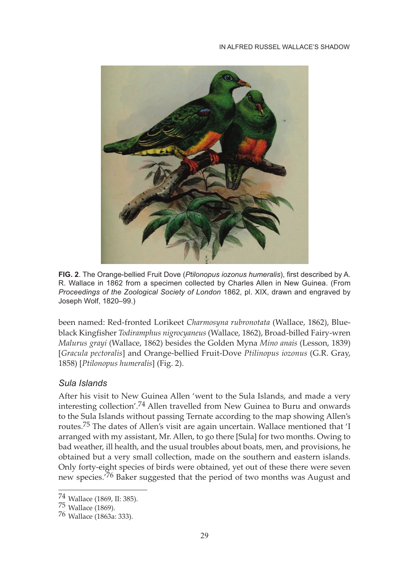

**FIG. 2**. The Orange-bellied Fruit Dove (*Ptilonopus iozonus humeralis*), first described by A. R. Wallace in 1862 from a specimen collected by Charles Allen in New Guinea. (From *Proceedings of the Zoological Society of London* 1862, pl. XIX, drawn and engraved by Joseph Wolf, 1820–99.)

been named: Red-fronted Lorikeet *Charmosyna rubronotata* (Wallace, 1862), Blueblack Kingfisher *Todiramphus nigrocyaneus* (Wallace, 1862), Broad-billed Fairy-wren *Malurus grayi* (Wallace, 1862) besides the Golden Myna *Mino anais* (Lesson, 1839) [*Gracula pectoralis*] and Orange-bellied Fruit-Dove *Ptilinopus iozonus* (G.R. Gray, 1858) [*Ptilonopus humeralis*] (Fig. 2).

## *Sula Islands*

After his visit to New Guinea Allen 'went to the Sula Islands, and made a very interesting collection'.<sup>74</sup> Allen travelled from New Guinea to Buru and onwards to the Sula Islands without passing Ternate according to the map showing Allen's routes.75 The dates of Allen's visit are again uncertain. Wallace mentioned that 'I arranged with my assistant, Mr. Allen, to go there [Sula] for two months. Owing to bad weather, ill health, and the usual troubles about boats, men, and provisions, he obtained but a very small collection, made on the southern and eastern islands. Only forty-eight species of birds were obtained, yet out of these there were seven new species.<sup>'76</sup> Baker suggested that the period of two months was August and

<sup>&</sup>lt;sup>74</sup> Wallace (1869, II: 385).<br><sup>75</sup> Wallace (1869).<br>76 Wallace (1863a: 333).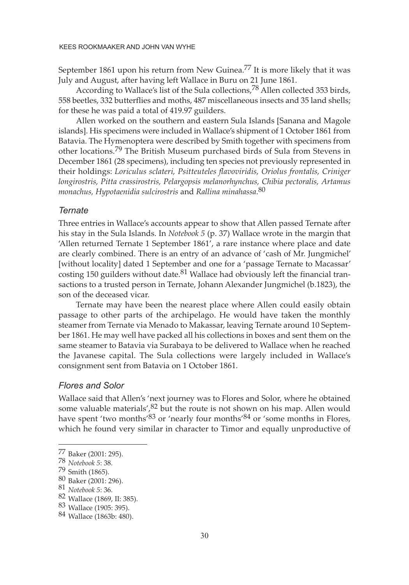September 1861 upon his return from New Guinea.<sup>77</sup> It is more likely that it was July and August, after having left Wallace in Buru on 21 June 1861.

According to Wallace's list of the Sula collections,<sup>78</sup> Allen collected 353 birds, 558 beetles, 332 butterflies and moths, 487 miscellaneous insects and 35 land shells; for these he was paid a total of 419.97 guilders.

Allen worked on the southern and eastern Sula Islands [Sanana and Magole islands]. His specimens were included in Wallace's shipment of 1 October 1861 from Batavia. The Hymenoptera were described by Smith together with specimens from other locations.<sup>79</sup> The British Museum purchased birds of Sula from Stevens in December 1861 (28 specimens), including ten species not previously represented in their holdings: *Loriculus sclateri, Psitteuteles flavoviridis, Oriolus frontalis, Criniger longirostris, Pitta crassirostris, Pelargopsis melanorhynchus, Chibia pectoralis, Artamus monachus, Hypotaenidia sulcirostris* and *Rallina minahassa*. 80

## *Ternate*

Three entries in Wallace's accounts appear to show that Allen passed Ternate after his stay in the Sula Islands. In *Notebook 5* (p. 37) Wallace wrote in the margin that 'Allen returned Ternate 1 September 1861', a rare instance where place and date are clearly combined. There is an entry of an advance of 'cash of Mr. Jungmichel' [without locality] dated 1 September and one for a 'passage Ternate to Macassar' costing 150 guilders without date. $81$  Wallace had obviously left the financial transactions to a trusted person in Ternate, Johann Alexander Jungmichel (b.1823), the son of the deceased vicar.

Ternate may have been the nearest place where Allen could easily obtain passage to other parts of the archipelago. He would have taken the monthly steamer from Ternate via Menado to Makassar, leaving Ternate around 10 September 1861. He may well have packed all his collections in boxes and sent them on the same steamer to Batavia via Surabaya to be delivered to Wallace when he reached the Javanese capital. The Sula collections were largely included in Wallace's consignment sent from Batavia on 1 October 1861.

## *Flores and Solor*

Wallace said that Allen's 'next journey was to Flores and Solor, where he obtained some valuable materials',  $82$  but the route is not shown on his map. Allen would have spent 'two months'  $83$  or 'nearly four months'  $84$  or 'some months in Flores, which he found very similar in character to Timor and equally unproductive of

<sup>77</sup> Baker (2001: 295). <sup>78</sup> *Notebook 5*: 38.

<sup>79</sup> Smith (1865). <sup>80</sup> Baker (2001: 296). <sup>81</sup> *Notebook 5*: 36.

<sup>82</sup> Wallace (1869, II: 385).<br>83 Wallace (1905: 395).<br>84 Wallace (1863b: 480).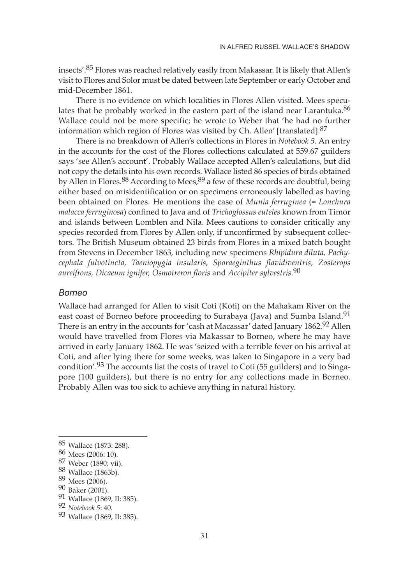insects'.85 Flores was reached relatively easily from Makassar. It is likely that Allen's visit to Flores and Solor must be dated between late September or early October and mid-December 1861.

There is no evidence on which localities in Flores Allen visited. Mees speculates that he probably worked in the eastern part of the island near Larantuka. $86$ Wallace could not be more specific; he wrote to Weber that 'he had no further information which region of Flores was visited by Ch. Allen' [translated].<sup>87</sup>

There is no breakdown of Allen's collections in Flores in *Notebook 5*. An entry in the accounts for the cost of the Flores collections calculated at 559.67 guilders says 'see Allen's account'. Probably Wallace accepted Allen's calculations, but did not copy the details into his own records. Wallace listed 86 species of birds obtained by Allen in Flores.<sup>88</sup> According to Mees,  $89$  a few of these records are doubtful, being either based on misidentification or on specimens erroneously labelled as having been obtained on Flores. He mentions the case of *Munia ferruginea* (= *Lonchura malacca ferruginosa*) confined to Java and of *Trichoglossus euteles* known from Timor and islands between Lomblen and Nila. Mees cautions to consider critically any species recorded from Flores by Allen only, if unconfirmed by subsequent collectors. The British Museum obtained 23 birds from Flores in a mixed batch bought from Stevens in December 1863, including new specimens *Rhipidura diluta, Pachycephala fulvotincta, Taeniopygia insularis, Sporaeginthus flavidiventris, Zosterops aureifrons, Dicaeum ignifer, Osmotreron floris* and *Accipiter sylvestris*. 90

#### *Borneo*

Wallace had arranged for Allen to visit Coti (Koti) on the Mahakam River on the east coast of Borneo before proceeding to Surabaya (Java) and Sumba Island.<sup>91</sup> There is an entry in the accounts for 'cash at Macassar' dated January 1862.<sup>92</sup> Allen would have travelled from Flores via Makassar to Borneo, where he may have arrived in early January 1862. He was 'seized with a terrible fever on his arrival at Coti, and after lying there for some weeks, was taken to Singapore in a very bad condition'.<sup>93</sup> The accounts list the costs of travel to Coti (55 guilders) and to Singapore (100 guilders), but there is no entry for any collections made in Borneo. Probably Allen was too sick to achieve anything in natural history.

<sup>85</sup> Wallace (1873: 288). <sup>86</sup> Mees (2006: 10). <sup>87</sup> Weber (1890: vii). <sup>88</sup> Wallace (1863b). <sup>89</sup> Mees (2006). <sup>90</sup> Baker (2001). <sup>91</sup> Wallace (1869, II: 385). <sup>92</sup> *Notebook 5*: 40.

<sup>93</sup> Wallace (1869, II: 385).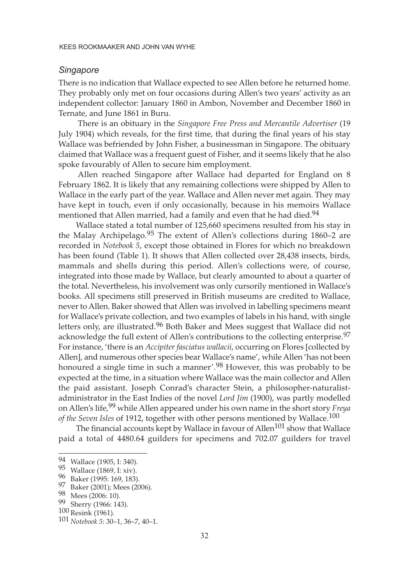#### *Singapore*

There is no indication that Wallace expected to see Allen before he returned home. They probably only met on four occasions during Allen's two years' activity as an independent collector: January 1860 in Ambon, November and December 1860 in Ternate, and June 1861 in Buru.

There is an obituary in the *Singapore Free Press and Mercantile Advertiser* (19 July 1904) which reveals, for the first time, that during the final years of his stay Wallace was befriended by John Fisher, a businessman in Singapore. The obituary claimed that Wallace was a frequent guest of Fisher, and it seems likely that he also spoke favourably of Allen to secure him employment.

Allen reached Singapore after Wallace had departed for England on 8 February 1862. It is likely that any remaining collections were shipped by Allen to Wallace in the early part of the year. Wallace and Allen never met again. They may have kept in touch, even if only occasionally, because in his memoirs Wallace mentioned that Allen married, had a family and even that he had died.<sup>94</sup>

Wallace stated a total number of 125,660 specimens resulted from his stay in the Malay Archipelago.<sup>95</sup> The extent of Allen's collections during 1860–2 are recorded in *Notebook 5*, except those obtained in Flores for which no breakdown has been found (Table 1). It shows that Allen collected over 28,438 insects, birds, mammals and shells during this period. Allen's collections were, of course, integrated into those made by Wallace, but clearly amounted to about a quarter of the total. Nevertheless, his involvement was only cursorily mentioned in Wallace's books. All specimens still preserved in British museums are credited to Wallace, never to Allen. Baker showed that Allen was involved in labelling specimens meant for Wallace's private collection, and two examples of labels in his hand, with single letters only, are illustrated.<sup>96</sup> Both Baker and Mees suggest that Wallace did not acknowledge the full extent of Allen's contributions to the collecting enterprise.<sup>97</sup> For instance, 'there is an *Accipiter fasciatus wallacii*, occurring on Flores [collected by Allen], and numerous other species bear Wallace's name', while Allen 'has not been honoured a single time in such a manner'.<sup>98</sup> However, this was probably to be expected at the time, in a situation where Wallace was the main collector and Allen the paid assistant. Joseph Conrad's character Stein, a philosopher-naturalistadministrator in the East Indies of the novel *Lord Jim* (1900), was partly modelled on Allen's life,99 while Allen appeared under his own name in the short story *Freya of the Seven Isles* of 1912, together with other persons mentioned by Wallace.100

The financial accounts kept by Wallace in favour of Allen<sup>101</sup> show that Wallace paid a total of 4480.64 guilders for specimens and 702.07 guilders for travel

<sup>94</sup> Wallace (1905, I: 340).<br>95 Wallace (1869, I: xiv).<br>96 Baker (1995: 169, 183).<br>97 Baker (2001); Mees (2006).<br>98 Mees (2006: 10).<br>99 Sherry (1966: 143).<br>100 Resink (1961).<br>101 *Notebook 5*: 30–1, 36–7, 40–1.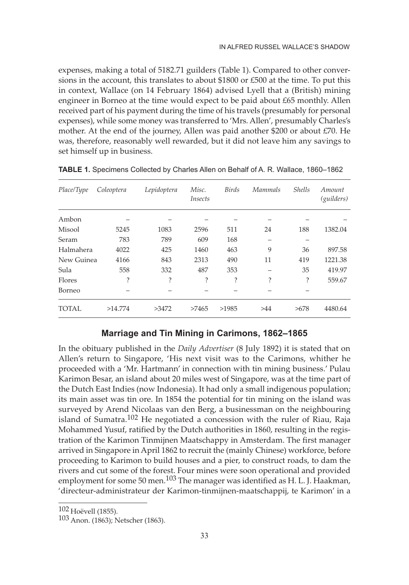expenses, making a total of 5182.71 guilders (Table 1). Compared to other conversions in the account, this translates to about \$1800 or £500 at the time. To put this in context, Wallace (on 14 February 1864) advised Lyell that a (British) mining engineer in Borneo at the time would expect to be paid about £65 monthly. Allen received part of his payment during the time of his travels (presumably for personal expenses), while some money was transferred to 'Mrs. Allen', presumably Charles's mother. At the end of the journey, Allen was paid another \$200 or about  $\text{\textsterling}70$ . He was, therefore, reasonably well rewarded, but it did not leave him any savings to set himself up in business.

| Place/Type   | Coleoptera | Lepidoptera | Misc.<br>Insects | <b>Birds</b> | Mammals | <b>Shells</b> | Amount<br><i>(guilders)</i> |
|--------------|------------|-------------|------------------|--------------|---------|---------------|-----------------------------|
| Ambon        |            |             |                  |              |         |               |                             |
| Misool       | 5245       | 1083        | 2596             | 511          | 24      | 188           | 1382.04                     |
| Seram        | 783        | 789         | 609              | 168          |         |               |                             |
| Halmahera    | 4022       | 425         | 1460             | 463          | 9       | 36            | 897.58                      |
| New Guinea   | 4166       | 843         | 2313             | 490          | 11      | 419           | 1221.38                     |
| Sula         | 558        | 332         | 487              | 353          |         | 35            | 419.97                      |
| Flores       | ?          | ?           | ?                | ?            | ?       | ?             | 559.67                      |
| Borneo       |            |             |                  |              |         |               |                             |
| <b>TOTAL</b> | >14.774    | >3472       | >7465            | >1985        | >44     | >678          | 4480.64                     |

**TABLE 1.** Specimens Collected by Charles Allen on Behalf of A. R. Wallace, 1860–1862

## **Marriage and Tin Mining in Carimons, 1862–1865**

In the obituary published in the *Daily Advertiser* (8 July 1892) it is stated that on Allen's return to Singapore, 'His next visit was to the Carimons, whither he proceeded with a 'Mr. Hartmann' in connection with tin mining business.' Pulau Karimon Besar, an island about 20 miles west of Singapore, was at the time part of the Dutch East Indies (now Indonesia). It had only a small indigenous population; its main asset was tin ore. In 1854 the potential for tin mining on the island was surveyed by Arend Nicolaas van den Berg, a businessman on the neighbouring island of Sumatra.<sup>102</sup> He negotiated a concession with the ruler of Riau, Raja Mohammed Yusuf, ratified by the Dutch authorities in 1860, resulting in the registration of the Karimon Tinmijnen Maatschappy in Amsterdam. The first manager arrived in Singapore in April 1862 to recruit the (mainly Chinese) workforce, before proceeding to Karimon to build houses and a pier, to construct roads, to dam the rivers and cut some of the forest. Four mines were soon operational and provided employment for some 50 men.<sup>103</sup> The manager was identified as H. L. J. Haakman, 'directeur-administrateur der Karimon-tinmijnen-maatschappij, te Karimon' in a

<sup>102</sup> Hoëvell (1855). <sup>103</sup> Anon. (1863); Netscher (1863).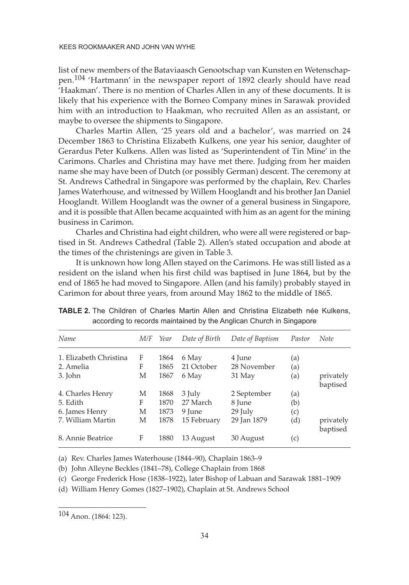list of new members of the Bataviaasch Genootschap van Kunsten en Wetenschappen.<sup>104</sup> 'Hartmann' in the newspaper report of 1892 clearly should have read 'Haakman'. There is no mention of Charles Allen in any of these documents. It is likely that his experience with the Borneo Company mines in Sarawak provided him with an introduction to Haakman, who recruited Allen as an assistant, or maybe to oversee the shipments to Singapore.

Charles Martin Allen, '25 years old and a bachelor', was married on 24 December 1863 to Christina Elizabeth Kulkens, one year his senior, daughter of Gerardus Peter Kulkens. Allen was listed as 'Superintendent of Tin Mine' in the Carimons. Charles and Christina may have met there. Judging from her maiden name she may have been of Dutch (or possibly German) descent. The ceremony at St. Andrews Cathedral in Singapore was performed by the chaplain, Rev. Charles James Waterhouse, and witnessed by Willem Hooglandt and his brother Jan Daniel Hooglandt. Willem Hooglandt was the owner of a general business in Singapore, and it is possible that Allen became acquainted with him as an agent for the mining business in Carimon.

Charles and Christina had eight children, who were all were registered or baptised in St. Andrews Cathedral (Table 2). Allen's stated occupation and abode at the times of the christenings are given in Table 3.

It is unknown how long Allen stayed on the Carimons. He was still listed as a resident on the island when his first child was baptised in June 1864, but by the end of 1865 he had moved to Singapore. Allen (and his family) probably stayed in Carimon for about three years, from around May 1862 to the middle of 1865.

| Name                   |   | M/F Year | Date of Birth | Date of Baptism | Pastor | <b>Note</b>           |
|------------------------|---|----------|---------------|-----------------|--------|-----------------------|
| 1. Elizabeth Christina | F | 1864     | 6 May         | 4 June          | (a)    |                       |
| 2. Amelia              | F | 1865     | 21 October    | 28 November     | (a)    |                       |
| 3. John                | М | 1867     | 6 May         | 31 May          | (a)    | privately<br>baptised |
| 4. Charles Henry       | М | 1868     | 3 July        | 2 September     | (a)    |                       |
| 5. Edith               | F | 1870     | 27 March      | 8 June          | (b)    |                       |
| 6. James Henry         | M | 1873     | 9 June        | 29 July         | (c)    |                       |
| 7. William Martin      | М | 1878     | 15 February   | 29 Jan 1879     | (d)    | privately<br>baptised |
| 8. Annie Beatrice      | F | 1880     | 13 August     | 30 August       | (c)    |                       |
|                        |   |          |               |                 |        |                       |

**TABLE 2.** The Children of Charles Martin Allen and Christina Elizabeth née Kulkens, according to records maintained by the Anglican Church in Singapore

(a) Rev. Charles James Waterhouse (1844–90), Chaplain 1863–9

(b) John Alleyne Beckles (1841–78), College Chaplain from 1868

(c) George Frederick Hose (1838–1922), later Bishop of Labuan and Sarawak 1881–1909

(d) William Henry Gomes (1827–1902), Chaplain at St. Andrews School

<sup>104</sup> Anon. (1864: 123).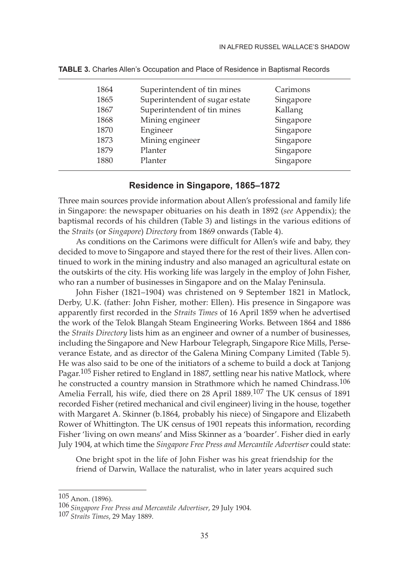| 1864 | Superintendent of tin mines    | Carimons  |
|------|--------------------------------|-----------|
| 1865 | Superintendent of sugar estate | Singapore |
| 1867 | Superintendent of tin mines    | Kallang   |
| 1868 | Mining engineer                | Singapore |
| 1870 | Engineer                       | Singapore |
| 1873 | Mining engineer                | Singapore |
| 1879 | Planter                        | Singapore |
| 1880 | Planter                        | Singapore |
|      |                                |           |

**TABLE 3.** Charles Allen's Occupation and Place of Residence in Baptismal Records

## **Residence in Singapore, 1865–1872**

Three main sources provide information about Allen's professional and family life in Singapore: the newspaper obituaries on his death in 1892 (*see* Appendix); the baptismal records of his children (Table 3) and listings in the various editions of the *Straits* (or *Singapore*) *Directory* from 1869 onwards (Table 4).

As conditions on the Carimons were difficult for Allen's wife and baby, they decided to move to Singapore and stayed there for the rest of their lives. Allen continued to work in the mining industry and also managed an agricultural estate on the outskirts of the city. His working life was largely in the employ of John Fisher, who ran a number of businesses in Singapore and on the Malay Peninsula.

John Fisher (1821–1904) was christened on 9 September 1821 in Matlock, Derby, U.K. (father: John Fisher, mother: Ellen). His presence in Singapore was apparently first recorded in the *Straits Times* of 16 April 1859 when he advertised the work of the Telok Blangah Steam Engineering Works. Between 1864 and 1886 the *Straits Directory* lists him as an engineer and owner of a number of businesses, including the Singapore and New Harbour Telegraph, Singapore Rice Mills, Perseverance Estate, and as director of the Galena Mining Company Limited (Table 5). He was also said to be one of the initiators of a scheme to build a dock at Tanjong Pagar.<sup>105</sup> Fisher retired to England in 1887, settling near his native Matlock, where he constructed a country mansion in Strathmore which he named Chindrass.<sup>106</sup> Amelia Ferrall, his wife, died there on 28 April 1889.<sup>107</sup> The UK census of 1891 recorded Fisher (retired mechanical and civil engineer) living in the house, together with Margaret A. Skinner (b.1864, probably his niece) of Singapore and Elizabeth Rower of Whittington. The UK census of 1901 repeats this information, recording Fisher 'living on own means' and Miss Skinner as a 'boarder'. Fisher died in early July 1904, at which time the *Singapore Free Press and Mercantile Advertiser* could state:

One bright spot in the life of John Fisher was his great friendship for the friend of Darwin, Wallace the naturalist, who in later years acquired such

<sup>105</sup> Anon. (1896). <sup>106</sup> *Singapore Free Press and Mercantile Advertiser*, 29 July 1904. <sup>107</sup> *Straits Times*, 29 May 1889.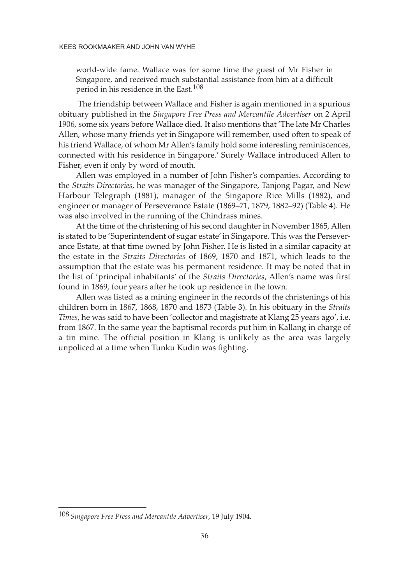#### KEES ROOKMAAKER AND JOHN VAN WYHE

world-wide fame. Wallace was for some time the guest of Mr Fisher in Singapore, and received much substantial assistance from him at a difficult period in his residence in the East.<sup>108</sup>

The friendship between Wallace and Fisher is again mentioned in a spurious obituary published in the *Singapore Free Press and Mercantile Advertiser* on 2 April 1906, some six years before Wallace died. It also mentions that 'The late Mr Charles Allen, whose many friends yet in Singapore will remember, used often to speak of his friend Wallace, of whom Mr Allen's family hold some interesting reminiscences, connected with his residence in Singapore.' Surely Wallace introduced Allen to Fisher, even if only by word of mouth.

Allen was employed in a number of John Fisher's companies. According to the *Straits Directories*, he was manager of the Singapore, Tanjong Pagar, and New Harbour Telegraph (1881), manager of the Singapore Rice Mills (1882), and engineer or manager of Perseverance Estate (1869–71, 1879, 1882–92) (Table 4). He was also involved in the running of the Chindrass mines.

At the time of the christening of his second daughter in November 1865, Allen is stated to be 'Superintendent of sugar estate' in Singapore. This was the Perseverance Estate, at that time owned by John Fisher. He is listed in a similar capacity at the estate in the *Straits Directories* of 1869, 1870 and 1871, which leads to the assumption that the estate was his permanent residence. It may be noted that in the list of 'principal inhabitants' of the *Straits Directories*, Allen's name was first found in 1869, four years after he took up residence in the town.

Allen was listed as a mining engineer in the records of the christenings of his children born in 1867, 1868, 1870 and 1873 (Table 3). In his obituary in the *Straits Times*, he was said to have been 'collector and magistrate at Klang 25 years ago', i.e. from 1867. In the same year the baptismal records put him in Kallang in charge of a tin mine. The official position in Klang is unlikely as the area was largely unpoliced at a time when Tunku Kudin was fighting.

<sup>108</sup> *Singapore Free Press and Mercantile Advertiser*, 19 July 1904.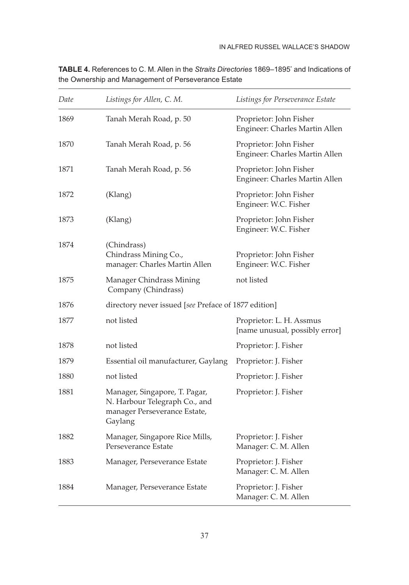| Date | Listings for Allen, C. M.                                                                                 | Listings for Perseverance Estate                           |
|------|-----------------------------------------------------------------------------------------------------------|------------------------------------------------------------|
| 1869 | Tanah Merah Road, p. 50                                                                                   | Proprietor: John Fisher<br>Engineer: Charles Martin Allen  |
| 1870 | Tanah Merah Road, p. 56                                                                                   | Proprietor: John Fisher<br>Engineer: Charles Martin Allen  |
| 1871 | Tanah Merah Road, p. 56                                                                                   | Proprietor: John Fisher<br>Engineer: Charles Martin Allen  |
| 1872 | (Klang)                                                                                                   | Proprietor: John Fisher<br>Engineer: W.C. Fisher           |
| 1873 | (Klang)                                                                                                   | Proprietor: John Fisher<br>Engineer: W.C. Fisher           |
| 1874 | (Chindrass)<br>Chindrass Mining Co.,<br>manager: Charles Martin Allen                                     | Proprietor: John Fisher<br>Engineer: W.C. Fisher           |
| 1875 | Manager Chindrass Mining<br>Company (Chindrass)                                                           | not listed                                                 |
| 1876 | directory never issued [see Preface of 1877 edition]                                                      |                                                            |
| 1877 | not listed                                                                                                | Proprietor: L. H. Assmus<br>[name unusual, possibly error] |
| 1878 | not listed                                                                                                | Proprietor: J. Fisher                                      |
| 1879 | Essential oil manufacturer, Gaylang                                                                       | Proprietor: J. Fisher                                      |
| 1880 | not listed                                                                                                | Proprietor: J. Fisher                                      |
| 1881 | Manager, Singapore, T. Pagar,<br>N. Harbour Telegraph Co., and<br>manager Perseverance Estate,<br>Gaylang | Proprietor: J. Fisher                                      |
| 1882 | Manager, Singapore Rice Mills,<br>Perseverance Estate                                                     | Proprietor: J. Fisher<br>Manager: C. M. Allen              |
| 1883 | Manager, Perseverance Estate                                                                              | Proprietor: J. Fisher<br>Manager: C. M. Allen              |
| 1884 | Manager, Perseverance Estate                                                                              | Proprietor: J. Fisher<br>Manager: C. M. Allen              |

**TABLE 4.** References to C. M. Allen in the *Straits Directories* 1869–1895\* and Indications of the Ownership and Management of Perseverance Estate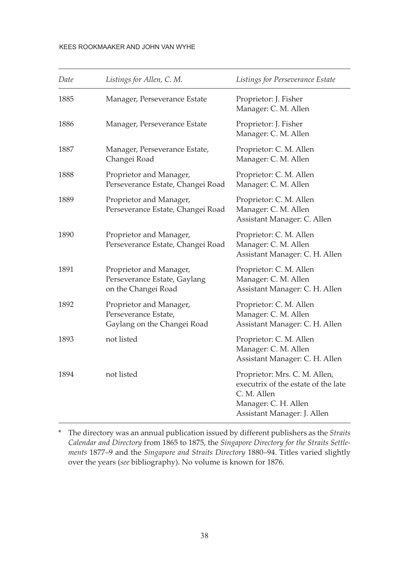#### KEES ROOKMAAKER AND JOHN VAN WYHE

| Date | Listings for Allen, C. M.                                                      | Listings for Perseverance Estate                                                                                                           |
|------|--------------------------------------------------------------------------------|--------------------------------------------------------------------------------------------------------------------------------------------|
| 1885 | Manager, Perseverance Estate                                                   | Proprietor: J. Fisher<br>Manager: C. M. Allen                                                                                              |
| 1886 | Manager, Perseverance Estate                                                   | Proprietor: J. Fisher<br>Manager: C. M. Allen                                                                                              |
| 1887 | Manager, Perseverance Estate,<br>Changei Road                                  | Proprietor: C. M. Allen<br>Manager: C. M. Allen                                                                                            |
| 1888 | Proprietor and Manager,<br>Perseverance Estate, Changei Road                   | Proprietor: C. M. Allen<br>Manager: C. M. Allen                                                                                            |
| 1889 | Proprietor and Manager,<br>Perseverance Estate, Changei Road                   | Proprietor: C. M. Allen<br>Manager: C. M. Allen<br>Assistant Manager: C. Allen                                                             |
| 1890 | Proprietor and Manager,<br>Perseverance Estate, Changei Road                   | Proprietor: C. M. Allen<br>Manager: C. M. Allen<br>Assistant Manager: C. H. Allen                                                          |
| 1891 | Proprietor and Manager,<br>Perseverance Estate, Gaylang<br>on the Changei Road | Proprietor: C. M. Allen<br>Manager: C. M. Allen<br>Assistant Manager: C. H. Allen                                                          |
| 1892 | Proprietor and Manager,<br>Perseverance Estate,<br>Gaylang on the Changei Road | Proprietor: C. M. Allen<br>Manager: C. M. Allen<br>Assistant Manager: C. H. Allen                                                          |
| 1893 | not listed                                                                     | Proprietor: C. M. Allen<br>Manager: C. M. Allen<br>Assistant Manager: C. H. Allen                                                          |
| 1894 | not listed                                                                     | Proprietor: Mrs. C. M. Allen,<br>executrix of the estate of the late<br>C. M. Allen<br>Manager: C. H. Allen<br>Assistant Manager: J. Allen |

\* The directory was an annual publication issued by different publishers as the *Straits Calendar and Directory* from 1865 to 1875, the *Singapore Directory for the Straits Settlements* 1877–9 and the *Singapore and Straits Directory* 1880–94. Titles varied slightly over the years (*see* bibliography). No volume is known for 1876.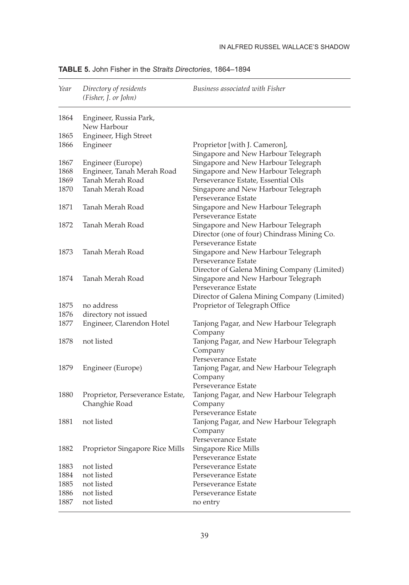| Year | Directory of residents<br>(Fisher, J. or John)    | Business associated with Fisher                                                                           |
|------|---------------------------------------------------|-----------------------------------------------------------------------------------------------------------|
| 1864 | Engineer, Russia Park,<br>New Harbour             |                                                                                                           |
| 1865 | Engineer, High Street                             |                                                                                                           |
| 1866 | Engineer                                          | Proprietor [with J. Cameron],<br>Singapore and New Harbour Telegraph                                      |
| 1867 | Engineer (Europe)                                 | Singapore and New Harbour Telegraph                                                                       |
| 1868 | Engineer, Tanah Merah Road                        | Singapore and New Harbour Telegraph                                                                       |
| 1869 | Tanah Merah Road                                  | Perseverance Estate, Essential Oils                                                                       |
| 1870 | Tanah Merah Road                                  | Singapore and New Harbour Telegraph<br>Perseverance Estate                                                |
| 1871 | Tanah Merah Road                                  | Singapore and New Harbour Telegraph<br>Perseverance Estate                                                |
| 1872 | Tanah Merah Road                                  | Singapore and New Harbour Telegraph<br>Director (one of four) Chindrass Mining Co.<br>Perseverance Estate |
| 1873 | Tanah Merah Road                                  | Singapore and New Harbour Telegraph<br>Perseverance Estate<br>Director of Galena Mining Company (Limited) |
| 1874 | Tanah Merah Road                                  | Singapore and New Harbour Telegraph<br>Perseverance Estate<br>Director of Galena Mining Company (Limited) |
| 1875 | no address                                        | Proprietor of Telegraph Office                                                                            |
| 1876 | directory not issued                              |                                                                                                           |
| 1877 | Engineer, Clarendon Hotel                         | Tanjong Pagar, and New Harbour Telegraph<br>Company                                                       |
| 1878 | not listed                                        | Tanjong Pagar, and New Harbour Telegraph<br>Company<br>Perseverance Estate                                |
| 1879 | Engineer (Europe)                                 | Tanjong Pagar, and New Harbour Telegraph<br>Company<br>Perseverance Estate                                |
| 1880 | Proprietor, Perseverance Estate,<br>Changhie Road | Tanjong Pagar, and New Harbour Telegraph<br>Company<br>Perseverance Estate                                |
| 1881 | not listed                                        | Tanjong Pagar, and New Harbour Telegraph<br>Company<br>Perseverance Estate                                |
| 1882 | Proprietor Singapore Rice Mills                   | Singapore Rice Mills<br>Perseverance Estate                                                               |
| 1883 | not listed                                        | Perseverance Estate                                                                                       |
| 1884 | not listed                                        | Perseverance Estate                                                                                       |
| 1885 | not listed                                        | Perseverance Estate                                                                                       |
| 1886 | not listed                                        | Perseverance Estate                                                                                       |
| 1887 | not listed                                        | no entry                                                                                                  |

**TABLE 5.** John Fisher in the *Straits Directories*, 1864–1894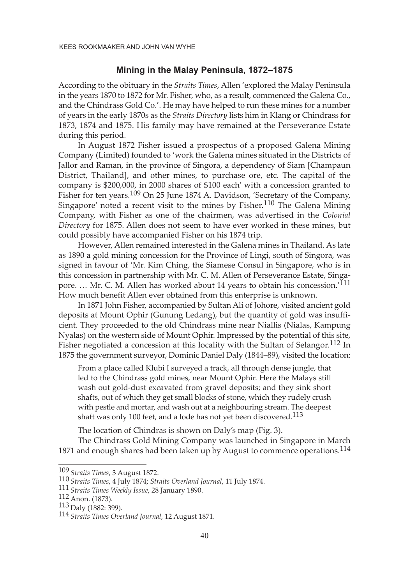#### **Mining in the Malay Peninsula, 1872–1875**

According to the obituary in the *Straits Times*, Allen 'explored the Malay Peninsula in the years 1870 to 1872 for Mr. Fisher, who, as a result, commenced the Galena Co., and the Chindrass Gold Co.'. He may have helped to run these mines for a number of years in the early 1870s as the *Straits Directory* lists him in Klang or Chindrass for 1873, 1874 and 1875. His family may have remained at the Perseverance Estate during this period.

In August 1872 Fisher issued a prospectus of a proposed Galena Mining Company (Limited) founded to 'work the Galena mines situated in the Districts of Jallor and Raman, in the province of Singora, a dependency of Siam [Champaun District, Thailand], and other mines, to purchase ore, etc. The capital of the company is \$200,000, in 2000 shares of \$100 each' with a concession granted to Fisher for ten years.<sup>109</sup> On 25 June 1874 A. Davidson, 'Secretary of the Company, Singapore' noted a recent visit to the mines by Fisher.<sup>110</sup> The Galena Mining Company, with Fisher as one of the chairmen, was advertised in the *Colonial Directory* for 1875. Allen does not seem to have ever worked in these mines, but could possibly have accompanied Fisher on his 1874 trip.

However, Allen remained interested in the Galena mines in Thailand. As late as 1890 a gold mining concession for the Province of Lingi, south of Singora, was signed in favour of 'Mr. Kim Ching, the Siamese Consul in Singapore, who is in this concession in partnership with Mr. C. M. Allen of Perseverance Estate, Singapore. ... Mr. C. M. Allen has worked about 14 years to obtain his concession.<sup>'111</sup> How much benefit Allen ever obtained from this enterprise is unknown.

In 1871 John Fisher, accompanied by Sultan Ali of Johore, visited ancient gold deposits at Mount Ophir (Gunung Ledang), but the quantity of gold was insufficient. They proceeded to the old Chindrass mine near Niallis (Nialas, Kampung Nyalas) on the western side of Mount Ophir. Impressed by the potential of this site, Fisher negotiated a concession at this locality with the Sultan of Selangor.<sup>112</sup> In 1875 the government surveyor, Dominic Daniel Daly (1844–89), visited the location:

From a place called Klubi I surveyed a track, all through dense jungle, that led to the Chindrass gold mines, near Mount Ophir. Here the Malays still wash out gold-dust excavated from gravel deposits; and they sink short shafts, out of which they get small blocks of stone, which they rudely crush with pestle and mortar, and wash out at a neighbouring stream. The deepest shaft was only 100 feet, and a lode has not yet been discovered.<sup>113</sup>

The location of Chindras is shown on Daly's map (Fig. 3).

The Chindrass Gold Mining Company was launched in Singapore in March 1871 and enough shares had been taken up by August to commence operations.<sup>114</sup>

<sup>109</sup> Straits Times, 3 August 1872.<br>110 Straits Times, 4 July 1874; Straits Overland Journal, 11 July 1874.<br>111 Straits Times Weekly Issue, 28 January 1890.<br>112 Anon. (1873).<br>113 Daly (1882: 399).<br>114 Straits Times Overland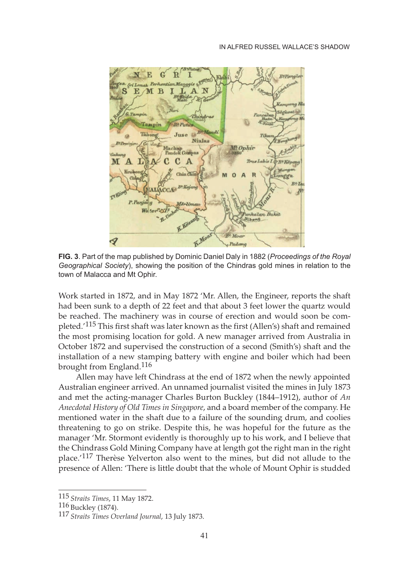

**FIG. 3**. Part of the map published by Dominic Daniel Daly in 1882 (*Proceedings of the Royal Geographical Society*), showing the position of the Chindras gold mines in relation to the town of Malacca and Mt Ophir.

Work started in 1872, and in May 1872 'Mr. Allen, the Engineer, reports the shaft had been sunk to a depth of 22 feet and that about 3 feet lower the quartz would be reached. The machinery was in course of erection and would soon be completed.<sup>'115</sup> This first shaft was later known as the first (Allen's) shaft and remained the most promising location for gold. A new manager arrived from Australia in October 1872 and supervised the construction of a second (Smith's) shaft and the installation of a new stamping battery with engine and boiler which had been brought from England.116

Allen may have left Chindrass at the end of 1872 when the newly appointed Australian engineer arrived. An unnamed journalist visited the mines in July 1873 and met the acting-manager Charles Burton Buckley (1844–1912), author of *An Anecdotal History of Old Times in Singapore*, and a board member of the company. He mentioned water in the shaft due to a failure of the sounding drum, and coolies threatening to go on strike. Despite this, he was hopeful for the future as the manager 'Mr. Stormont evidently is thoroughly up to his work, and I believe that the Chindrass Gold Mining Company have at length got the right man in the right place.'117 Therèse Yelverton also went to the mines, but did not allude to the presence of Allen: 'There is little doubt that the whole of Mount Ophir is studded

<sup>115</sup> *Straits Times*, 11 May 1872. <sup>116</sup> Buckley (1874). <sup>117</sup> *Straits Times Overland Journal*, 13 July 1873.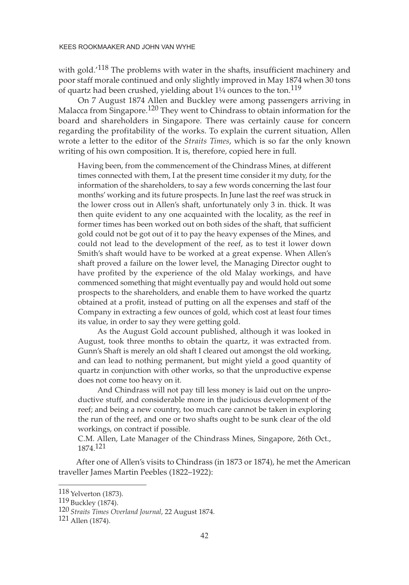with gold.'<sup>118</sup> The problems with water in the shafts, insufficient machinery and poor staff morale continued and only slightly improved in May 1874 when 30 tons of quartz had been crushed, yielding about  $1\frac{1}{4}$  ounces to the ton.<sup>119</sup>

On 7 August 1874 Allen and Buckley were among passengers arriving in Malacca from Singapore.<sup>120</sup> They went to Chindrass to obtain information for the board and shareholders in Singapore. There was certainly cause for concern regarding the profitability of the works. To explain the current situation, Allen wrote a letter to the editor of the *Straits Times*, which is so far the only known writing of his own composition. It is, therefore, copied here in full.

Having been, from the commencement of the Chindrass Mines, at different times connected with them, I at the present time consider it my duty, for the information of the shareholders, to say a few words concerning the last four months' working and its future prospects. In June last the reef was struck in the lower cross out in Allen's shaft, unfortunately only 3 in. thick. It was then quite evident to any one acquainted with the locality, as the reef in former times has been worked out on both sides of the shaft, that sufficient gold could not be got out of it to pay the heavy expenses of the Mines, and could not lead to the development of the reef, as to test it lower down Smith's shaft would have to be worked at a great expense. When Allen's shaft proved a failure on the lower level, the Managing Director ought to have profited by the experience of the old Malay workings, and have commenced something that might eventually pay and would hold out some prospects to the shareholders, and enable them to have worked the quartz obtained at a profit, instead of putting on all the expenses and staff of the Company in extracting a few ounces of gold, which cost at least four times its value, in order to say they were getting gold.

As the August Gold account published, although it was looked in August, took three months to obtain the quartz, it was extracted from. Gunn's Shaft is merely an old shaft I cleared out amongst the old working, and can lead to nothing permanent, but might yield a good quantity of quartz in conjunction with other works, so that the unproductive expense does not come too heavy on it.

And Chindrass will not pay till less money is laid out on the unproductive stuff, and considerable more in the judicious development of the reef; and being a new country, too much care cannot be taken in exploring the run of the reef, and one or two shafts ought to be sunk clear of the old workings, on contract if possible.

C.M. Allen, Late Manager of the Chindrass Mines, Singapore, 26th Oct., 1874.121

After one of Allen's visits to Chindrass (in 1873 or 1874), he met the American traveller James Martin Peebles (1822–1922):

<sup>118</sup> Yelverton (1873). <sup>119</sup> Buckley (1874). <sup>120</sup> *Straits Times Overland Journal*, 22 August 1874. <sup>121</sup> Allen (1874).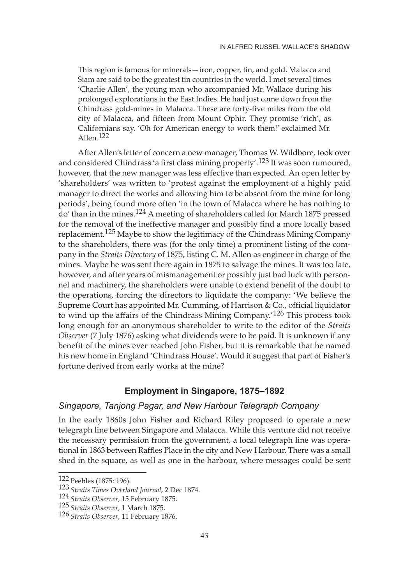This region is famous for minerals—iron, copper, tin, and gold. Malacca and Siam are said to be the greatest tin countries in the world. I met several times 'Charlie Allen', the young man who accompanied Mr. Wallace during his prolonged explorations in the East Indies. He had just come down from the Chindrass gold-mines in Malacca. These are forty-five miles from the old city of Malacca, and fifteen from Mount Ophir. They promise 'rich', as Californians say. 'Oh for American energy to work them!' exclaimed Mr. Allen.122

After Allen's letter of concern a new manager, Thomas W. Wildbore, took over and considered Chindrass 'a first class mining property'.<sup>123</sup> It was soon rumoured, however, that the new manager was less effective than expected. An open letter by 'shareholders' was written to 'protest against the employment of a highly paid manager to direct the works and allowing him to be absent from the mine for long periods', being found more often 'in the town of Malacca where he has nothing to do' than in the mines.<sup>124</sup> A meeting of shareholders called for March 1875 pressed for the removal of the ineffective manager and possibly find a more locally based replacement.<sup>125</sup> Maybe to show the legitimacy of the Chindrass Mining Company to the shareholders, there was (for the only time) a prominent listing of the company in the *Straits Directory* of 1875, listing C. M. Allen as engineer in charge of the mines. Maybe he was sent there again in 1875 to salvage the mines. It was too late, however, and after years of mismanagement or possibly just bad luck with personnel and machinery, the shareholders were unable to extend benefit of the doubt to the operations, forcing the directors to liquidate the company: 'We believe the Supreme Court has appointed Mr. Cumming, of Harrison & Co., official liquidator to wind up the affairs of the Chindrass Mining Company.'126 This process took long enough for an anonymous shareholder to write to the editor of the *Straits Observer* (7 July 1876) asking what dividends were to be paid. It is unknown if any benefit of the mines ever reached John Fisher, but it is remarkable that he named his new home in England 'Chindrass House'. Would it suggest that part of Fisher's fortune derived from early works at the mine?

### **Employment in Singapore, 1875–1892**

## *Singapore, Tanjong Pagar, and New Harbour Telegraph Company*

In the early 1860s John Fisher and Richard Riley proposed to operate a new telegraph line between Singapore and Malacca. While this venture did not receive the necessary permission from the government, a local telegraph line was operational in 1863 between Raffles Place in the city and New Harbour. There was a small shed in the square, as well as one in the harbour, where messages could be sent

<sup>122</sup> Peebles (1875: 196). <sup>123</sup> *Straits Times Overland Journal*, 2 Dec 1874.

<sup>124</sup> *Straits Observer*, 15 February 1875. <sup>125</sup> *Straits Observer*, 1 March 1875.

<sup>126</sup> *Straits Observer*, 11 February 1876.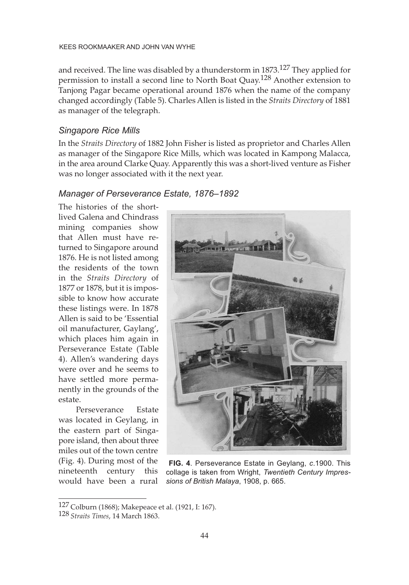#### KEES ROOKMAAKER AND JOHN VAN WYHE

and received. The line was disabled by a thunderstorm in  $1873$ .<sup>127</sup> They applied for permission to install a second line to North Boat Quay.128 Another extension to Tanjong Pagar became operational around 1876 when the name of the company changed accordingly (Table 5). Charles Allen is listed in the *Straits Directory* of 1881 as manager of the telegraph.

### *Singapore Rice Mills*

In the *Straits Directory* of 1882 John Fisher is listed as proprietor and Charles Allen as manager of the Singapore Rice Mills, which was located in Kampong Malacca, in the area around Clarke Quay. Apparently this was a short-lived venture as Fisher was no longer associated with it the next year.

### *Manager of Perseverance Estate, 1876–1892*

The histories of the shortlived Galena and Chindrass mining companies show that Allen must have returned to Singapore around 1876. He is not listed among the residents of the town in the *Straits Directory* of 1877 or 1878, but it is impossible to know how accurate these listings were. In 1878 Allen is said to be 'Essential oil manufacturer, Gaylang', which places him again in Perseverance Estate (Table 4). Allen's wandering days were over and he seems to have settled more permanently in the grounds of the estate.

Perseverance Estate was located in Geylang, in the eastern part of Singapore island, then about three miles out of the town centre (Fig. 4). During most of the nineteenth century this would have been a rural



**FIG. 4**. Perseverance Estate in Geylang, *c*.1900. This collage is taken from Wright, *Twentieth Century Impressions of British Malaya*, 1908, p. 665.

<sup>127</sup> Colburn (1868); Makepeace et al. (1921, I: 167). <sup>128</sup> *Straits Times*, 14 March 1863.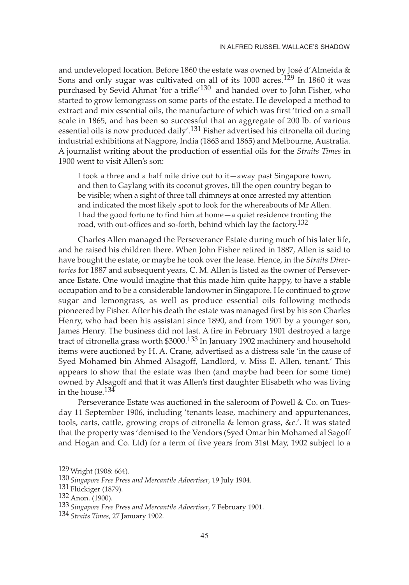and undeveloped location. Before 1860 the estate was owned by José d'Almeida & Sons and only sugar was cultivated on all of its 1000 acres.<sup>129</sup> In 1860 it was purchased by Sevid Ahmat 'for a trifle'130 and handed over to John Fisher, who started to grow lemongrass on some parts of the estate. He developed a method to extract and mix essential oils, the manufacture of which was first 'tried on a small scale in 1865, and has been so successful that an aggregate of 200 lb. of various essential oils is now produced daily'.<sup>131</sup> Fisher advertised his citronella oil during industrial exhibitions at Nagpore, India (1863 and 1865) and Melbourne, Australia. A journalist writing about the production of essential oils for the *Straits Times* in 1900 went to visit Allen's son:

I took a three and a half mile drive out to it—away past Singapore town, and then to Gaylang with its coconut groves, till the open country began to be visible; when a sight of three tall chimneys at once arrested my attention and indicated the most likely spot to look for the whereabouts of Mr Allen. I had the good fortune to find him at home—a quiet residence fronting the road, with out-offices and so-forth, behind which lay the factory.<sup>132</sup>

Charles Allen managed the Perseverance Estate during much of his later life, and he raised his children there. When John Fisher retired in 1887, Allen is said to have bought the estate, or maybe he took over the lease. Hence, in the *Straits Directories* for 1887 and subsequent years, C. M. Allen is listed as the owner of Perseverance Estate. One would imagine that this made him quite happy, to have a stable occupation and to be a considerable landowner in Singapore. He continued to grow sugar and lemongrass, as well as produce essential oils following methods pioneered by Fisher. After his death the estate was managed first by his son Charles Henry, who had been his assistant since 1890, and from 1901 by a younger son, James Henry. The business did not last. A fire in February 1901 destroyed a large tract of citronella grass worth \$3000.133 In January 1902 machinery and household items were auctioned by H. A. Crane, advertised as a distress sale 'in the cause of Syed Mohamed bin Ahmed Alsagoff, Landlord, v. Miss E. Allen, tenant.' This appears to show that the estate was then (and maybe had been for some time) owned by Alsagoff and that it was Allen's first daughter Elisabeth who was living in the house.<sup>134</sup>

Perseverance Estate was auctioned in the saleroom of Powell & Co. on Tuesday 11 September 1906, including 'tenants lease, machinery and appurtenances, tools, carts, cattle, growing crops of citronella & lemon grass, &c.'. It was stated that the property was 'demised to the Vendors (Syed Omar bin Mohamed al Sagoff and Hogan and Co. Ltd) for a term of five years from 31st May, 1902 subject to a

<sup>129</sup> Wright (1908: 664).<br>130 Singapore Free Press and Mercantile Advertiser, 19 July 1904.<br>131 Flückiger (1879).<br>132 Anon. (1900).<br>133 Singapore Free Press and Mercantile Advertiser, 7 February 1901.<br>134 Straits Times, 27 J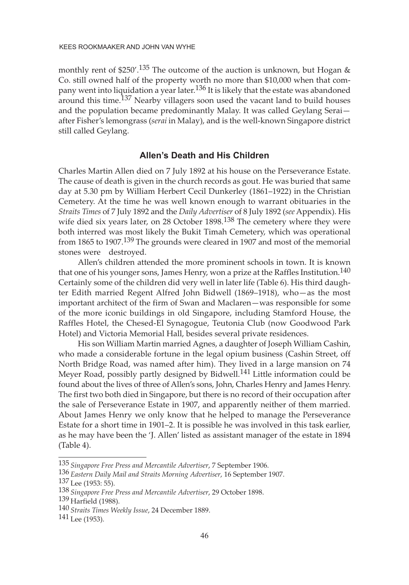monthly rent of \$250'.<sup>135</sup> The outcome of the auction is unknown, but Hogan & Co. still owned half of the property worth no more than \$10,000 when that company went into liquidation a year later.<sup>136</sup> It is likely that the estate was abandoned around this time.<sup>137</sup> Nearby villagers soon used the vacant land to build houses and the population became predominantly Malay. It was called Geylang Serai after Fisher's lemongrass (*serai* in Malay), and is the well-known Singapore district still called Geylang.

## **Allen's Death and His Children**

Charles Martin Allen died on 7 July 1892 at his house on the Perseverance Estate. The cause of death is given in the church records as gout. He was buried that same day at 5.30 pm by William Herbert Cecil Dunkerley (1861–1922) in the Christian Cemetery. At the time he was well known enough to warrant obituaries in the *Straits Times* of 7 July 1892 and the *Daily Advertiser* of 8 July 1892 (*see* Appendix). His wife died six years later, on 28 October 1898.<sup>138</sup> The cemetery where they were both interred was most likely the Bukit Timah Cemetery, which was operational from 1865 to 1907.<sup>139</sup> The grounds were cleared in 1907 and most of the memorial stones were destroyed.

Allen's children attended the more prominent schools in town. It is known that one of his younger sons, James Henry, won a prize at the Raffles Institution.<sup>140</sup> Certainly some of the children did very well in later life (Table 6). His third daughter Edith married Regent Alfred John Bidwell (1869–1918), who—as the most important architect of the firm of Swan and Maclaren—was responsible for some of the more iconic buildings in old Singapore, including Stamford House, the Raffles Hotel, the Chesed-El Synagogue, Teutonia Club (now Goodwood Park Hotel) and Victoria Memorial Hall, besides several private residences.

His son William Martin married Agnes, a daughter of Joseph William Cashin, who made a considerable fortune in the legal opium business (Cashin Street, off North Bridge Road, was named after him). They lived in a large mansion on 74 Meyer Road, possibly partly designed by Bidwell.<sup>141</sup> Little information could be found about the lives of three of Allen's sons, John, Charles Henry and James Henry. The first two both died in Singapore, but there is no record of their occupation after the sale of Perseverance Estate in 1907, and apparently neither of them married. About James Henry we only know that he helped to manage the Perseverance Estate for a short time in 1901–2. It is possible he was involved in this task earlier, as he may have been the 'J. Allen' listed as assistant manager of the estate in 1894 (Table 4).

<sup>135</sup> Singapore Free Press and Mercantile Advertiser, 7 September 1906.<br>136 Eastern Daily Mail and Straits Morning Advertiser, 16 September 1907.<br>137 Lee (1953: 55).<br>138 Singapore Free Press and Mercantile Advertiser, 29 Oct

<sup>139</sup> Harfield (1988). <sup>140</sup> *Straits Times Weekly Issue*, 24 December 1889.

<sup>141</sup> Lee (1953).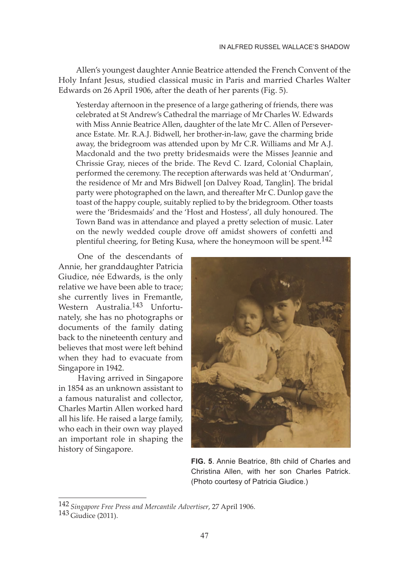Allen's youngest daughter Annie Beatrice attended the French Convent of the Holy Infant Jesus, studied classical music in Paris and married Charles Walter Edwards on 26 April 1906, after the death of her parents (Fig. 5).

Yesterday afternoon in the presence of a large gathering of friends, there was celebrated at St Andrew's Cathedral the marriage of Mr Charles W. Edwards with Miss Annie Beatrice Allen, daughter of the late Mr C. Allen of Perseverance Estate. Mr. R.A.J. Bidwell, her brother-in-law, gave the charming bride away, the bridegroom was attended upon by Mr C.R. Williams and Mr A.J. Macdonald and the two pretty bridesmaids were the Misses Jeannie and Chrissie Gray, nieces of the bride. The Revd C. Izard, Colonial Chaplain, performed the ceremony. The reception afterwards was held at 'Ondurman', the residence of Mr and Mrs Bidwell [on Dalvey Road, Tanglin]. The bridal party were photographed on the lawn, and thereafter Mr C. Dunlop gave the toast of the happy couple, suitably replied to by the bridegroom. Other toasts were the 'Bridesmaids' and the 'Host and Hostess', all duly honoured. The Town Band was in attendance and played a pretty selection of music. Later on the newly wedded couple drove off amidst showers of confetti and plentiful cheering, for Beting Kusa, where the honeymoon will be spent.<sup>142</sup>

One of the descendants of Annie, her granddaughter Patricia Giudice, née Edwards, is the only relative we have been able to trace; she currently lives in Fremantle, Western Australia.143 Unfortunately, she has no photographs or documents of the family dating back to the nineteenth century and believes that most were left behind when they had to evacuate from Singapore in 1942.

Having arrived in Singapore in 1854 as an unknown assistant to a famous naturalist and collector, Charles Martin Allen worked hard all his life. He raised a large family, who each in their own way played an important role in shaping the history of Singapore.



**FIG. 5**. Annie Beatrice, 8th child of Charles and Christina Allen, with her son Charles Patrick. (Photo courtesy of Patricia Giudice.)

<sup>142</sup> *Singapore Free Press and Mercantile Advertiser*, 27 April 1906. <sup>143</sup> Giudice (2011).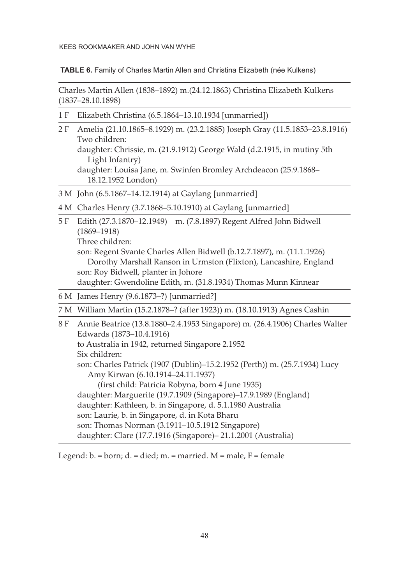#### KEES ROOKMAAKER AND JOHN VAN WYHE

**TABLE 6.** Family of Charles Martin Allen and Christina Elizabeth (née Kulkens)

Charles Martin Allen (1838–1892) m.(24.12.1863) Christina Elizabeth Kulkens (1837–28.10.1898)

| 1F | Elizabeth Christina (6.5.1864-13.10.1934 [unmarried])                                                                                                                                                                                                                                                                                                                                                                                                                                                                                                                                                                                                    |
|----|----------------------------------------------------------------------------------------------------------------------------------------------------------------------------------------------------------------------------------------------------------------------------------------------------------------------------------------------------------------------------------------------------------------------------------------------------------------------------------------------------------------------------------------------------------------------------------------------------------------------------------------------------------|
| 2F | Amelia (21.10.1865-8.1929) m. (23.2.1885) Joseph Gray (11.5.1853-23.8.1916)<br>Two children:<br>daughter: Chrissie, m. (21.9.1912) George Wald (d.2.1915, in mutiny 5th<br>Light Infantry)                                                                                                                                                                                                                                                                                                                                                                                                                                                               |
|    | daughter: Louisa Jane, m. Swinfen Bromley Archdeacon (25.9.1868-<br>18.12.1952 London)                                                                                                                                                                                                                                                                                                                                                                                                                                                                                                                                                                   |
|    | 3 M John (6.5.1867-14.12.1914) at Gaylang [unmarried]                                                                                                                                                                                                                                                                                                                                                                                                                                                                                                                                                                                                    |
|    | 4 M Charles Henry (3.7.1868–5.10.1910) at Gaylang [unmarried]                                                                                                                                                                                                                                                                                                                                                                                                                                                                                                                                                                                            |
| 5F | Edith (27.3.1870–12.1949)<br>m. (7.8.1897) Regent Alfred John Bidwell<br>$(1869 - 1918)$<br>Three children:<br>son: Regent Svante Charles Allen Bidwell (b.12.7.1897), m. (11.1.1926)<br>Dorothy Marshall Ranson in Urmston (Flixton), Lancashire, England<br>son: Roy Bidwell, planter in Johore<br>daughter: Gwendoline Edith, m. (31.8.1934) Thomas Munn Kinnear                                                                                                                                                                                                                                                                                      |
|    | 6 M James Henry (9.6.1873-?) [unmarried?]                                                                                                                                                                                                                                                                                                                                                                                                                                                                                                                                                                                                                |
|    | 7 M William Martin (15.2.1878-? (after 1923)) m. (18.10.1913) Agnes Cashin                                                                                                                                                                                                                                                                                                                                                                                                                                                                                                                                                                               |
| 8F | Annie Beatrice (13.8.1880-2.4.1953 Singapore) m. (26.4.1906) Charles Walter<br>Edwards (1873-10.4.1916)<br>to Australia in 1942, returned Singapore 2.1952<br>Six children:<br>son: Charles Patrick (1907 (Dublin)-15.2.1952 (Perth)) m. (25.7.1934) Lucy<br>Amy Kirwan (6.10.1914-24.11.1937)<br>(first child: Patricia Robyna, born 4 June 1935)<br>daughter: Marguerite (19.7.1909 (Singapore)-17.9.1989 (England)<br>daughter: Kathleen, b. in Singapore, d. 5.1.1980 Australia<br>son: Laurie, b. in Singapore, d. in Kota Bharu<br>son: Thomas Norman (3.1911-10.5.1912 Singapore)<br>daughter: Clare (17.7.1916 (Singapore)-21.1.2001 (Australia) |

Legend:  $b = b$ orn;  $d = di$ ed;  $m =$  married.  $M =$  male,  $F =$  female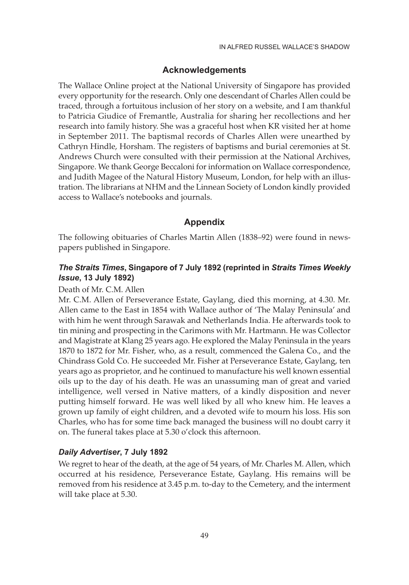## **Acknowledgements**

The Wallace Online project at the National University of Singapore has provided every opportunity for the research. Only one descendant of Charles Allen could be traced, through a fortuitous inclusion of her story on a website, and I am thankful to Patricia Giudice of Fremantle, Australia for sharing her recollections and her research into family history. She was a graceful host when KR visited her at home in September 2011. The baptismal records of Charles Allen were unearthed by Cathryn Hindle, Horsham. The registers of baptisms and burial ceremonies at St. Andrews Church were consulted with their permission at the National Archives, Singapore. We thank George Beccaloni for information on Wallace correspondence, and Judith Magee of the Natural History Museum, London, for help with an illustration. The librarians at NHM and the Linnean Society of London kindly provided access to Wallace's notebooks and journals.

## **Appendix**

The following obituaries of Charles Martin Allen (1838–92) were found in newspapers published in Singapore.

## *The Straits Times***, Singapore of 7 July 1892 (reprinted in** *Straits Times Weekly Issue***, 13 July 1892)**

#### Death of Mr. C.M. Allen

Mr. C.M. Allen of Perseverance Estate, Gaylang, died this morning, at 4.30. Mr. Allen came to the East in 1854 with Wallace author of 'The Malay Peninsula' and with him he went through Sarawak and Netherlands India. He afterwards took to tin mining and prospecting in the Carimons with Mr. Hartmann. He was Collector and Magistrate at Klang 25 years ago. He explored the Malay Peninsula in the years 1870 to 1872 for Mr. Fisher, who, as a result, commenced the Galena Co., and the Chindrass Gold Co. He succeeded Mr. Fisher at Perseverance Estate, Gaylang, ten years ago as proprietor, and he continued to manufacture his well known essential oils up to the day of his death. He was an unassuming man of great and varied intelligence, well versed in Native matters, of a kindly disposition and never putting himself forward. He was well liked by all who knew him. He leaves a grown up family of eight children, and a devoted wife to mourn his loss. His son Charles, who has for some time back managed the business will no doubt carry it on. The funeral takes place at 5.30 o'clock this afternoon.

#### *Daily Advertiser***, 7 July 1892**

We regret to hear of the death, at the age of 54 years, of Mr. Charles M. Allen, which occurred at his residence, Perseverance Estate, Gaylang. His remains will be removed from his residence at 3.45 p.m. to-day to the Cemetery, and the interment will take place at 5.30.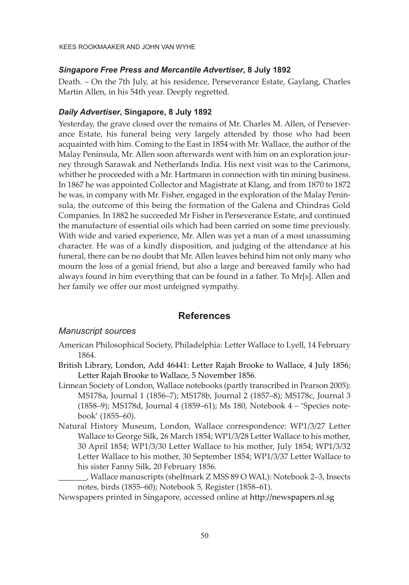### *Singapore Free Press and Mercantile Advertiser***, 8 July 1892**

Death. – On the 7th July, at his residence, Perseverance Estate, Gaylang, Charles Martin Allen, in his 54th year. Deeply regretted.

#### *Daily Advertiser***, Singapore, 8 July 1892**

Yesterday, the grave closed over the remains of Mr. Charles M. Allen, of Perseverance Estate, his funeral being very largely attended by those who had been acquainted with him. Coming to the East in 1854 with Mr. Wallace, the author of the Malay Peninsula, Mr. Allen soon afterwards went with him on an exploration journey through Sarawak and Netherlands India. His next visit was to the Carimons, whither he proceeded with a Mr. Hartmann in connection with tin mining business. In 1867 he was appointed Collector and Magistrate at Klang, and from 1870 to 1872 he was, in company with Mr. Fisher, engaged in the exploration of the Malay Peninsula, the outcome of this being the formation of the Galena and Chindras Gold Companies. In 1882 he succeeded Mr Fisher in Perseverance Estate, and continued the manufacture of essential oils which had been carried on some time previously. With wide and varied experience, Mr. Allen was yet a man of a most unassuming character. He was of a kindly disposition, and judging of the attendance at his funeral, there can be no doubt that Mr. Allen leaves behind him not only many who mourn the loss of a genial friend, but also a large and bereaved family who had always found in him everything that can be found in a father. To Mr[s]. Allen and her family we offer our most unfeigned sympathy.

## **References**

#### *Manuscript sources*

- American Philosophical Society, Philadelphia: Letter Wallace to Lyell, 14 February 1864.
- British Library, London, Add 46441: Letter Rajah Brooke to Wallace, 4 July 1856; Letter Rajah Brooke to Wallace, 5 November 1856.
- Linnean Society of London, Wallace notebooks (partly transcribed in Pearson 2005): MS178a, Journal 1 (1856–7); MS178b, Journal 2 (1857–8); MS178c, Journal 3 (1858–9); MS178d, Journal 4 (1859–61); Ms 180, Notebook 4 – 'Species notebook' (1855–60).
- Natural History Museum, London, Wallace correspondence: WP1/3/27 Letter Wallace to George Silk, 26 March 1854; WP1/3/28 Letter Wallace to his mother, 30 April 1854; WP1/3/30 Letter Wallace to his mother, July 1854; WP1/3/32 Letter Wallace to his mother, 30 September 1854; WP1/3/37 Letter Wallace to his sister Fanny Silk, 20 February 1856.
	- \_\_\_\_\_\_\_, Wallace manuscripts (shelfmark Z MSS 89 O WAL): Notebook 2–3, Insects notes, birds (1855–60); Notebook 5, Register (1858–61).

Newspapers printed in Singapore, accessed online at http://newspapers.nl.sg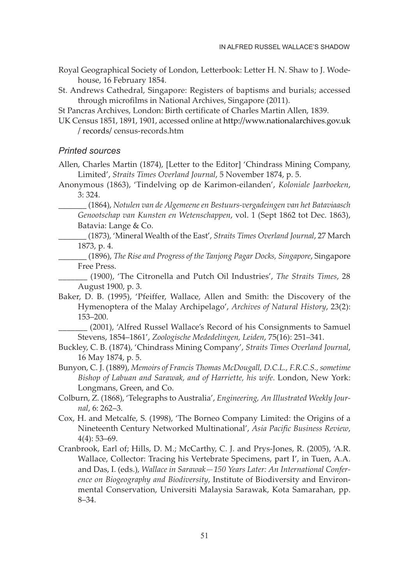- Royal Geographical Society of London, Letterbook: Letter H. N. Shaw to J. Wodehouse, 16 February 1854.
- St. Andrews Cathedral, Singapore: Registers of baptisms and burials; accessed through microfilms in National Archives, Singapore (2011).

St Pancras Archives, London: Birth certificate of Charles Martin Allen, 1839.

UK Census 1851, 1891, 1901, accessed online at http://www.nationalarchives.gov.uk / records/ census-records.htm

## *Printed sources*

Allen, Charles Martin (1874), [Letter to the Editor] 'Chindrass Mining Company, Limited', *Straits Times Overland Journal*, 5 November 1874, p. 5.

Anonymous (1863), 'Tindelving op de Karimon-eilanden', *Koloniale Jaarboeken*, 3: 324.

\_\_\_\_\_\_\_ (1864), *Notulen van de Algemeene en Bestuurs-vergadeingen van het Bataviaasch Genootschap van Kunsten en Wetenschappen*, vol. 1 (Sept 1862 tot Dec. 1863), Batavia: Lange & Co.

\_\_\_\_\_\_\_ (1873), 'Mineral Wealth of the East', *Straits Times Overland Journal*, 27 March 1873, p. 4.

- \_\_\_\_\_\_\_ (1896), *The Rise and Progress of the Tanjong Pagar Docks, Singapore*, Singapore Free Press.
- \_\_\_\_\_\_\_ (1900), 'The Citronella and Putch Oil Industries', *The Straits Times*, 28 August 1900, p. 3.
- Baker, D. B. (1995), 'Pfeiffer, Wallace, Allen and Smith: the Discovery of the Hymenoptera of the Malay Archipelago', *Archives of Natural History*, 23(2): 153–200.

\_\_\_\_\_\_\_ (2001), 'Alfred Russel Wallace's Record of his Consignments to Samuel Stevens, 1854–1861', *Zoologische Mededelingen, Leiden*, 75(16): 251–341.

- Buckley, C. B. (1874), 'Chindrass Mining Company', *Straits Times Overland Journal*, 16 May 1874, p. 5.
- Bunyon, C. J. (1889), *Memoirs of Francis Thomas McDougall, D.C.L., F.R.C.S., sometime Bishop of Labuan and Sarawak, and of Harriette, his wife*. London, New York: Longmans, Green, and Co.
- Colburn, Z. (1868), 'Telegraphs to Australia', *Engineering, An Illustrated Weekly Journal*, 6: 262–3.
- Cox, H. and Metcalfe, S. (1998), 'The Borneo Company Limited: the Origins of a Nineteenth Century Networked Multinational', *Asia Pacific Business Review*, 4(4): 53–69.
- Cranbrook, Earl of; Hills, D. M.; McCarthy, C. J. and Prys-Jones, R. (2005), 'A.R. Wallace, Collector: Tracing his Vertebrate Specimens, part I', in Tuen, A.A. and Das, I. (eds.), *Wallace in Sarawak—150 Years Later: An International Conference on Biogeography and Biodiversity*, Institute of Biodiversity and Environmental Conservation, Universiti Malaysia Sarawak, Kota Samarahan, pp. 8–34.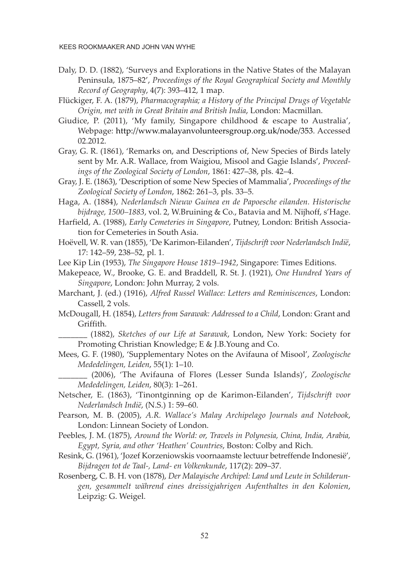- Daly, D. D. (1882), 'Surveys and Explorations in the Native States of the Malayan Peninsula, 1875–82', *Proceedings of the Royal Geographical Society and Monthly Record of Geography*, 4(7): 393–412, 1 map.
- Flückiger, F. A. (1879), *Pharmacographia; a History of the Principal Drugs of Vegetable Origin, met with in Great Britain and British India*, London: Macmillan.
- Giudice, P. (2011), 'My family, Singapore childhood & escape to Australia', Webpage: http://www.malayanvolunteersgroup.org.uk/node/353. Accessed 02.2012.
- Gray, G. R. (1861), 'Remarks on, and Descriptions of, New Species of Birds lately sent by Mr. A.R. Wallace, from Waigiou, Misool and Gagie Islands', *Proceedings of the Zoological Society of London*, 1861: 427–38, pls. 42–4.
- Gray, J. E. (1863), 'Description of some New Species of Mammalia', *Proceedings of the Zoological Society of London*, 1862: 261–3, pls. 33–5.
- Haga, A. (1884), *Nederlandsch Nieuw Guinea en de Papoesche eilanden. Historische bijdrage, 1500–1883*, vol. 2, W.Bruining & Co., Batavia and M. Nijhoff, s'Hage.
- Harfield, A. (1988), *Early Cemeteries in Singapore*, Putney, London: British Association for Cemeteries in South Asia.
- Hoëvell, W. R. van (1855), 'De Karimon-Eilanden', *Tijdschrift voor Nederlandsch Indië*, 17: 142–59, 238–52, pl. 1.

Lee Kip Lin (1953), *The Singapore House 1819–1942*, Singapore: Times Editions.

- Makepeace, W., Brooke, G. E. and Braddell, R. St. J. (1921), *One Hundred Years of Singapore*, London: John Murray, 2 vols.
- Marchant, J. (ed.) (1916), *Alfred Russel Wallace: Letters and Reminiscences*, London: Cassell, 2 vols.
- McDougall, H. (1854), *Letters from Sarawak: Addressed to a Child*, London: Grant and Griffith.

\_\_\_\_\_\_\_ (1882), *Sketches of our Life at Sarawak*, London, New York: Society for Promoting Christian Knowledge; E & J.B.Young and Co.

Mees, G. F. (1980), 'Supplementary Notes on the Avifauna of Misool', *Zoologische Mededelingen, Leiden*, 55(1): 1–10.

\_\_\_\_\_\_\_ (2006), 'The Avifauna of Flores (Lesser Sunda Islands)', *Zoologische Mededelingen, Leiden*, 80(3): 1–261.

- Netscher, E. (1863), 'Tinontginning op de Karimon-Eilanden', *Tijdschrift voor Nederlandsch Indië*, (N.S.) 1: 59–60.
- Pearson, M. B. (2005), *A.R. Wallace's Malay Archipelago Journals and Notebook*, London: Linnean Society of London.
- Peebles, J. M. (1875), *Around the World: or, Travels in Polynesia, China, India, Arabia, Egypt, Syria, and other 'Heathen' Countries*, Boston: Colby and Rich.
- Resink, G. (1961), 'Jozef Korzeniowskis voornaamste lectuur betreffende Indonesië', *Bijdragen tot de Taal-, Land- en Volkenkunde*, 117(2): 209–37.
- Rosenberg, C. B. H. von (1878), *Der Malayische Archipel: Land und Leute in Schilderungen, gesammelt während eines dreissigjahrigen Aufenthaltes in den Kolonien*, Leipzig: G. Weigel.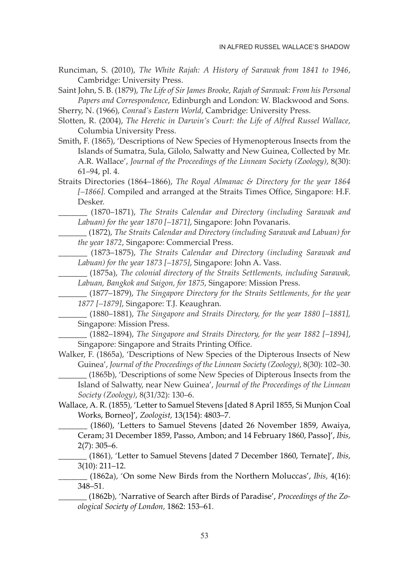- Runciman, S. (2010), *The White Rajah: A History of Sarawak from 1841 to 1946*, Cambridge: University Press.
- Saint John, S. B. (1879), *The Life of Sir James Brooke, Rajah of Sarawak: From his Personal Papers and Correspondence*, Edinburgh and London: W. Blackwood and Sons.

Sherry, N. (1966), *Conrad's Eastern World*, Cambridge: University Press.

- Slotten, R. (2004), *The Heretic in Darwin's Court: the Life of Alfred Russel Wallace,* Columbia University Press.
- Smith, F. (1865), 'Descriptions of New Species of Hymenopterous Insects from the Islands of Sumatra, Sula, Gilolo, Salwatty and New Guinea, Collected by Mr. A.R. Wallace', *Journal of the Proceedings of the Linnean Society (Zoology)*, 8(30): 61–94, pl. 4.
- Straits Directories (1864–1866), *The Royal Almanac & Directory for the year 1864 [–1866].* Compiled and arranged at the Straits Times Office, Singapore: H.F. Desker.

\_\_\_\_\_\_\_ (1870–1871), *The Straits Calendar and Directory (including Sarawak and Labuan) for the year 1870 [–1871]*, Singapore: John Povanaris.

\_\_\_\_\_\_\_ (1872), *The Straits Calendar and Directory (including Sarawak and Labuan) for the year 1872*, Singapore: Commercial Press.

\_\_\_\_\_\_\_ (1873–1875), *The Straits Calendar and Directory (including Sarawak and Labuan) for the year 1873 [–1875]*, Singapore: John A. Vass.

\_\_\_\_\_\_\_ (1875a), *The colonial directory of the Straits Settlements, including Sarawak, Labuan, Bangkok and Saigon, for 1875*, Singapore: Mission Press.

\_\_\_\_\_\_\_ (1877–1879), *The Singapore Directory for the Straits Settlements, for the year 1877 [–1879]*, Singapore: T.J. Keaughran.

\_\_\_\_\_\_\_ (1880–1881), *The Singapore and Straits Directory, for the year 1880 [–1881],* Singapore: Mission Press.

\_\_\_\_\_\_\_ (1882–1894), *The Singapore and Straits Directory, for the year 1882 [–1894]*, Singapore: Singapore and Straits Printing Office.

Walker, F. (1865a), 'Descriptions of New Species of the Dipterous Insects of New Guinea', *Journal of the Proceedings of the Linnean Society (Zoology)*, 8(30): 102–30. \_\_\_\_\_\_\_ (1865b), 'Descriptions of some New Species of Dipterous Insects from the Island of Salwatty, near New Guinea', *Journal of the Proceedings of the Linnean Society (Zoology)*, 8(31/32): 130–6.

Wallace, A. R. (1855), 'Letter to Samuel Stevens [dated 8 April 1855, Si Munjon Coal Works, Borneo]', *Zoologist*, 13(154): 4803–7.

\_\_\_\_\_\_\_ (1860), 'Letters to Samuel Stevens [dated 26 November 1859, Awaiya, Ceram; 31 December 1859, Passo, Ambon; and 14 February 1860, Passo]', *Ibis*,  $2(7)$ : 305–6.

\_\_\_\_\_\_\_ (1861), 'Letter to Samuel Stevens [dated 7 December 1860, Ternate]', *Ibis*, 3(10): 211–12.

\_\_\_\_\_\_\_ (1862a), 'On some New Birds from the Northern Moluccas', *Ibis*, 4(16): 348–51.

\_\_\_\_\_\_\_ (1862b), 'Narrative of Search after Birds of Paradise', *Proceedings of the Zoological Society of London*, 1862: 153–61.